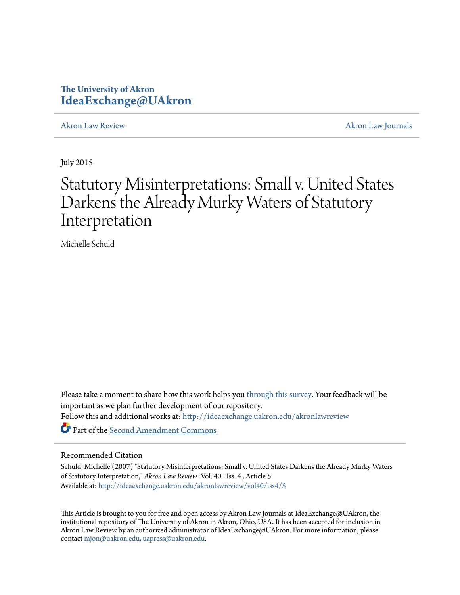# **The University of Akron [IdeaExchange@UAkron](http://ideaexchange.uakron.edu?utm_source=ideaexchange.uakron.edu%2Fakronlawreview%2Fvol40%2Fiss4%2F5&utm_medium=PDF&utm_campaign=PDFCoverPages)**

[Akron Law Review](http://ideaexchange.uakron.edu/akronlawreview?utm_source=ideaexchange.uakron.edu%2Fakronlawreview%2Fvol40%2Fiss4%2F5&utm_medium=PDF&utm_campaign=PDFCoverPages) [Akron Law Journals](http://ideaexchange.uakron.edu/akronlawjournals?utm_source=ideaexchange.uakron.edu%2Fakronlawreview%2Fvol40%2Fiss4%2F5&utm_medium=PDF&utm_campaign=PDFCoverPages)

July 2015

# Statutory Misinterpretations: Small v. United States Darkens the Already Murky Waters of Statutory Interpretation

Michelle Schuld

Please take a moment to share how this work helps you [through this survey.](http://survey.az1.qualtrics.com/SE/?SID=SV_eEVH54oiCbOw05f&URL=http://ideaexchange.uakron.edu/akronlawreview/vol40/iss4/5) Your feedback will be important as we plan further development of our repository. Follow this and additional works at: [http://ideaexchange.uakron.edu/akronlawreview](http://ideaexchange.uakron.edu/akronlawreview?utm_source=ideaexchange.uakron.edu%2Fakronlawreview%2Fvol40%2Fiss4%2F5&utm_medium=PDF&utm_campaign=PDFCoverPages) Part of the [Second Amendment Commons](http://network.bepress.com/hgg/discipline/1119?utm_source=ideaexchange.uakron.edu%2Fakronlawreview%2Fvol40%2Fiss4%2F5&utm_medium=PDF&utm_campaign=PDFCoverPages)

## Recommended Citation

Schuld, Michelle (2007) "Statutory Misinterpretations: Small v. United States Darkens the Already Murky Waters of Statutory Interpretation," *Akron Law Review*: Vol. 40 : Iss. 4 , Article 5. Available at: [http://ideaexchange.uakron.edu/akronlawreview/vol40/iss4/5](http://ideaexchange.uakron.edu/akronlawreview/vol40/iss4/5?utm_source=ideaexchange.uakron.edu%2Fakronlawreview%2Fvol40%2Fiss4%2F5&utm_medium=PDF&utm_campaign=PDFCoverPages)

This Article is brought to you for free and open access by Akron Law Journals at IdeaExchange@UAkron, the institutional repository of The University of Akron in Akron, Ohio, USA. It has been accepted for inclusion in Akron Law Review by an authorized administrator of IdeaExchange@UAkron. For more information, please contact [mjon@uakron.edu, uapress@uakron.edu.](mailto:mjon@uakron.edu,%20uapress@uakron.edu)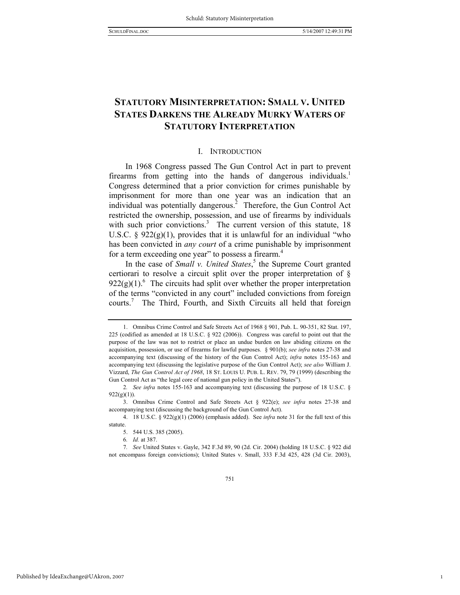1

# **STATUTORY MISINTERPRETATION: SMALL V. UNITED STATES DARKENS THE ALREADY MURKY WATERS OF STATUTORY INTERPRETATION**

#### I. INTRODUCTION

In 1968 Congress passed The Gun Control Act in part to prevent firearms from getting into the hands of dangerous individuals.<sup>1</sup> Congress determined that a prior conviction for crimes punishable by imprisonment for more than one year was an indication that an individual was potentially dangerous.<sup>2</sup> Therefore, the Gun Control Act restricted the ownership, possession, and use of firearms by individuals with such prior convictions.<sup>3</sup> The current version of this statute, 18 U.S.C.  $\S$  922(g)(1), provides that it is unlawful for an individual "who has been convicted in *any court* of a crime punishable by imprisonment for a term exceeding one year" to possess a firearm.<sup>4</sup>

In the case of *Small v. United States*,<sup>5</sup> the Supreme Court granted certiorari to resolve a circuit split over the proper interpretation of §  $922(g)(1)$ .<sup>6</sup> The circuits had split over whether the proper interpretation of the terms "convicted in any court" included convictions from foreign courts.<sup>7</sup> The Third, Fourth, and Sixth Circuits all held that foreign

 <sup>1.</sup> Omnibus Crime Control and Safe Streets Act of 1968 § 901, Pub. L. 90-351, 82 Stat. 197, 225 (codified as amended at 18 U.S.C. § 922 (2006)). Congress was careful to point out that the purpose of the law was not to restrict or place an undue burden on law abiding citizens on the acquisition, possession, or use of firearms for lawful purposes. § 901(b); *see infra* notes 27-38 and accompanying text (discussing of the history of the Gun Control Act); *infra* notes 155-163 and accompanying text (discussing the legislative purpose of the Gun Control Act); *see also* William J. Vizzard, *The Gun Control Act of 1968*, 18 ST. LOUIS U. PUB. L. REV. 79, 79 (1999) (describing the Gun Control Act as "the legal core of national gun policy in the United States").

<sup>2</sup>*. See infra* notes 155-163 and accompanying text (discussing the purpose of 18 U.S.C. §  $922(g)(1)$ ).

 <sup>3.</sup> Omnibus Crime Control and Safe Streets Act § 922(e); *see infra* notes 27-38 and accompanying text (discussing the background of the Gun Control Act).

 <sup>4. 18</sup> U.S.C. § 922(g)(1) (2006) (emphasis added). See *infra* note 31 for the full text of this statute.

 <sup>5. 544</sup> U.S. 385 (2005).

<sup>6</sup>*. Id.* at 387.

<sup>7</sup>*. See* United States v. Gayle, 342 F.3d 89, 90 (2d. Cir. 2004) (holding 18 U.S.C. § 922 did not encompass foreign convictions); United States v. Small, 333 F.3d 425, 428 (3d Cir. 2003),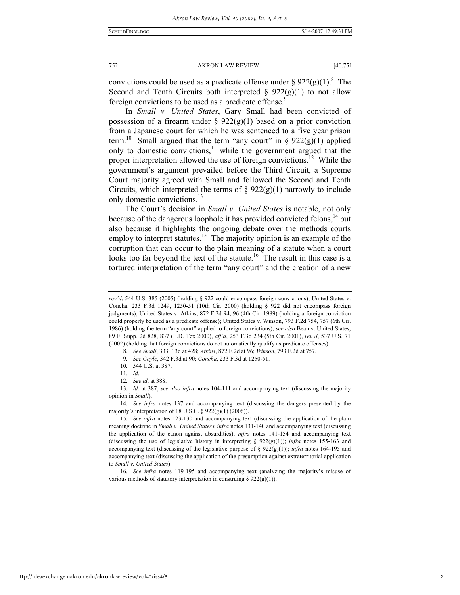convictions could be used as a predicate offense under §  $922(g)(1)^8$ . The Second and Tenth Circuits both interpreted  $\S$  922(g)(1) to not allow foreign convictions to be used as a predicate offense.<sup>9</sup>

In *Small v. United States*, Gary Small had been convicted of possession of a firearm under §  $922(g)(1)$  based on a prior conviction from a Japanese court for which he was sentenced to a five year prison term.<sup>10</sup> Small argued that the term "any court" in § 922(g)(1) applied only to domestic convictions, $11$  while the government argued that the proper interpretation allowed the use of foreign convictions.<sup>12</sup> While the government's argument prevailed before the Third Circuit, a Supreme Court majority agreed with Small and followed the Second and Tenth Circuits, which interpreted the terms of  $\S 922(g)(1)$  narrowly to include only domestic convictions.<sup>13</sup>

The Court's decision in *Small v. United States* is notable, not only because of the dangerous loophole it has provided convicted felons,<sup>14</sup> but also because it highlights the ongoing debate over the methods courts employ to interpret statutes.<sup>15</sup> The majority opinion is an example of the corruption that can occur to the plain meaning of a statute when a court looks too far beyond the text of the statute.<sup>16</sup> The result in this case is a tortured interpretation of the term "any court" and the creation of a new

11*. Id*.

12*. See id*. at 388.

13*. Id.* at 387; *see also infra* notes 104-111 and accompanying text (discussing the majority opinion in *Small*).

14*. See infra* notes 137 and accompanying text (discussing the dangers presented by the majority's interpretation of 18 U.S.C. § 922(g)(1) (2006)).

16*. See infra* notes 119-195 and accompanying text (analyzing the majority's misuse of various methods of statutory interpretation in construing  $\S 922(g)(1)$ ).

*rev'd*, 544 U.S. 385 (2005) (holding § 922 could encompass foreign convictions); United States v. Concha, 233 F.3d 1249, 1250-51 (10th Cir. 2000) (holding § 922 did not encompass foreign judgments); United States v. Atkins, 872 F.2d 94, 96 (4th Cir. 1989) (holding a foreign conviction could properly be used as a predicate offense); United States v. Winson, 793 F.2d 754, 757 (6th Cir. 1986) (holding the term "any court" applied to foreign convictions); *see also* Bean v. United States, 89 F. Supp. 2d 828, 837 (E.D. Tex 2000), *aff'd*, 253 F.3d 234 (5th Cir. 2001), *rev'd*, 537 U.S. 71 (2002) (holding that foreign convictions do not automatically qualify as predicate offenses).

<sup>8</sup>*. See Small*, 333 F.3d at 428; *Atkins*, 872 F.2d at 96; *Winson*, 793 F.2d at 757.

<sup>9</sup>*. See Gayle*, 342 F.3d at 90; *Concha*, 233 F.3d at 1250-51.

<sup>10</sup>*.* 544 U.S. at 387.

<sup>15</sup>*. See infra* notes 123-130 and accompanying text (discussing the application of the plain meaning doctrine in *Small v. United States*); *infra* notes 131-140 and accompanying text (discussing the application of the canon against absurdities); *infra* notes 141-154 and accompanying text (discussing the use of legislative history in interpreting  $\S$  922(g)(1)); *infra* notes 155-163 and accompanying text (discussing of the legislative purpose of § 922(g)(1)); *infra* notes 164-195 and accompanying text (discussing the application of the presumption against extraterritorial application to *Small v. United States*).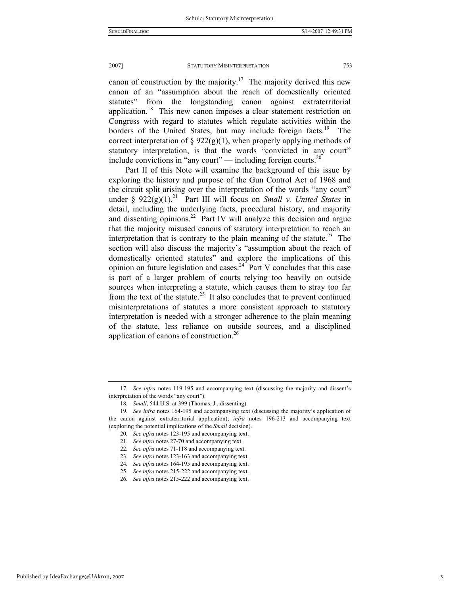canon of construction by the majority.<sup>17</sup> The majority derived this new canon of an "assumption about the reach of domestically oriented statutes" from the longstanding canon against extraterritorial application.<sup>18</sup> This new canon imposes a clear statement restriction on Congress with regard to statutes which regulate activities within the borders of the United States, but may include foreign facts.<sup>19</sup> The correct interpretation of  $\S 922(g)(1)$ , when properly applying methods of statutory interpretation, is that the words "convicted in any court" include convictions in "any court" — including foreign courts.<sup>20</sup>

Part II of this Note will examine the background of this issue by exploring the history and purpose of the Gun Control Act of 1968 and the circuit split arising over the interpretation of the words "any court" under  $\S 922(g)(1)^{21}$  Part III will focus on *Small v. United States* in detail, including the underlying facts, procedural history, and majority and dissenting opinions.<sup>22</sup> Part IV will analyze this decision and argue that the majority misused canons of statutory interpretation to reach an interpretation that is contrary to the plain meaning of the statute.<sup>23</sup> The section will also discuss the majority's "assumption about the reach of domestically oriented statutes" and explore the implications of this opinion on future legislation and cases.<sup>24</sub> Part V concludes that this case</sup> is part of a larger problem of courts relying too heavily on outside sources when interpreting a statute, which causes them to stray too far from the text of the statute.<sup>25</sup> It also concludes that to prevent continued misinterpretations of statutes a more consistent approach to statutory interpretation is needed with a stronger adherence to the plain meaning of the statute, less reliance on outside sources, and a disciplined application of canons of construction.26

<sup>17</sup>*. See infra* notes 119-195 and accompanying text (discussing the majority and dissent's interpretation of the words "any court").

<sup>18</sup>*. Small*, 544 U.S. at 399 (Thomas, J., dissenting).

<sup>19</sup>*. See infra* notes 164-195 and accompanying text (discussing the majority's application of the canon against extraterritorial application); *infra* notes 196-213 and accompanying text (exploring the potential implications of the *Small* decision).

<sup>20</sup>*. See infra* notes 123-195 and accompanying text.

<sup>21</sup>*. See infra* notes 27-70 and accompanying text.

<sup>22</sup>*. See infra* notes 71-118 and accompanying text.

<sup>23</sup>*. See infra* notes 123-163 and accompanying text.

<sup>24</sup>*. See infra* notes 164-195 and accompanying text.

<sup>25</sup>*. See infra* notes 215-222 and accompanying text.

<sup>26</sup>*. See infra* notes 215-222 and accompanying text.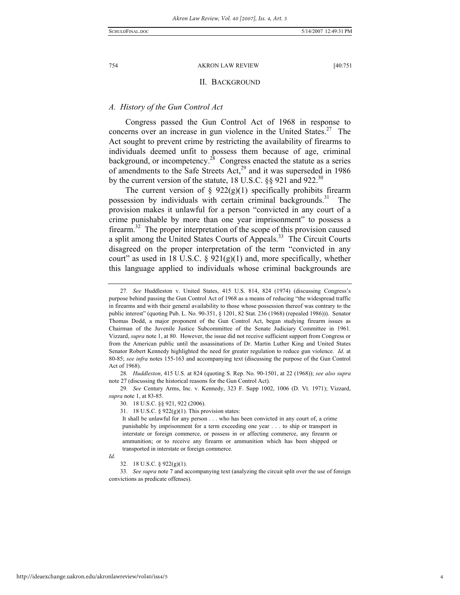#### II. BACKGROUND

### *A. History of the Gun Control Act*

Congress passed the Gun Control Act of 1968 in response to concerns over an increase in gun violence in the United States.<sup>27</sup> The Act sought to prevent crime by restricting the availability of firearms to individuals deemed unfit to possess them because of age, criminal background, or incompetency.<sup>28</sup> Congress enacted the statute as a series of amendments to the Safe Streets  $Act<sub>29</sub><sup>29</sup>$  and it was superseded in 1986 by the current version of the statute, 18 U.S.C.  $\S$ § 921 and 922.<sup>30</sup>

The current version of  $\S$  922(g)(1) specifically prohibits firearm possession by individuals with certain criminal backgrounds.<sup>31</sup> The provision makes it unlawful for a person "convicted in any court of a crime punishable by more than one year imprisonment" to possess a firearm.32 The proper interpretation of the scope of this provision caused a split among the United States Courts of Appeals.<sup>33</sup> The Circuit Courts disagreed on the proper interpretation of the term "convicted in any court" as used in 18 U.S.C.  $\S$  921(g)(1) and, more specifically, whether this language applied to individuals whose criminal backgrounds are

28*. Huddleston*, 415 U.S. at 824 (quoting S. Rep. No. 90-1501, at 22 (1968)); *see also supra* note 27 (discussing the historical reasons for the Gun Control Act).

29*. See* Century Arms, Inc. v. Kennedy, 323 F. Supp 1002, 1006 (D. Vt. 1971); Vizzard, *supra* note 1, at 83-85.

30. 18 U.S.C. §§ 921, 922 (2006).

31. 18 U.S.C. § 922(g)(1). This provision states:

It shall be unlawful for any person . . . who has been convicted in any court of, a crime punishable by imprisonment for a term exceeding one year . . . to ship or transport in interstate or foreign commerce, or possess in or affecting commerce, any firearm or ammunition; or to receive any firearm or ammunition which has been shipped or transported in interstate or foreign commerce.

#### *Id.*

33*. See supra* note 7 and accompanying text (analyzing the circuit split over the use of foreign convictions as predicate offenses).

<sup>27</sup>*. See* Huddleston v. United States, 415 U.S. 814, 824 (1974) (discussing Congress's purpose behind passing the Gun Control Act of 1968 as a means of reducing "the widespread traffic in firearms and with their general availability to those whose possession thereof was contrary to the public interest" (quoting Pub. L. No. 90-351, § 1201, 82 Stat. 236 (1968) (repealed 1986))). Senator Thomas Dodd, a major proponent of the Gun Control Act, began studying firearm issues as Chairman of the Juvenile Justice Subcommittee of the Senate Judiciary Committee in 1961. Vizzard, *supra* note 1, at 80. However, the issue did not receive sufficient support from Congress or from the American public until the assassinations of Dr. Martin Luther King and United States Senator Robert Kennedy highlighted the need for greater regulation to reduce gun violence. *Id*. at 80-85; *see infra* notes 155-163 and accompanying text (discussing the purpose of the Gun Control Act of 1968).

 <sup>32. 18</sup> U.S.C. § 922(g)(1).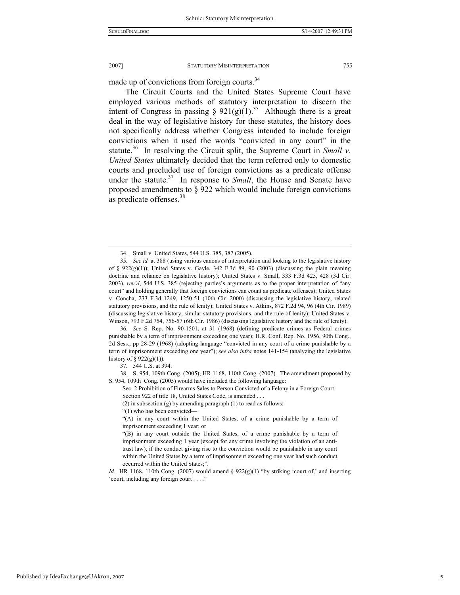made up of convictions from foreign courts.<sup>34</sup>

The Circuit Courts and the United States Supreme Court have employed various methods of statutory interpretation to discern the intent of Congress in passing §  $921(g)(1)^{35}$  Although there is a great deal in the way of legislative history for these statutes, the history does not specifically address whether Congress intended to include foreign convictions when it used the words "convicted in any court" in the statute.<sup>36</sup> In resolving the Circuit split, the Supreme Court in *Small v*. *United States* ultimately decided that the term referred only to domestic courts and precluded use of foreign convictions as a predicate offense under the statute.<sup>37</sup> In response to *Small*, the House and Senate have proposed amendments to § 922 which would include foreign convictions as predicate offenses.<sup>38</sup>

36*. See* S. Rep. No. 90-1501, at 31 (1968) (defining predicate crimes as Federal crimes punishable by a term of imprisonment exceeding one year); H.R. Conf. Rep. No. 1956, 90th Cong., 2d Sess., pp 28-29 (1968) (adopting language "convicted in any court of a crime punishable by a term of imprisonment exceeding one year"); *see also infra* notes 141-154 (analyzing the legislative history of § 922 $(g)(1)$ ).

37*.* 544 U.S. at 394.

 38. S. 954, 109th Cong. (2005); HR 1168, 110th Cong. (2007). The amendment proposed by S. 954, 109th Cong. (2005) would have included the following language:

Sec. 2 Prohibition of Firearms Sales to Person Convicted of a Felony in a Foreign Court. Section 922 of title 18, United States Code, is amended .

(2) in subsection (g) by amending paragraph (1) to read as follows:

"(1) who has been convicted—

*Id.* HR 1168, 110th Cong. (2007) would amend § 922(g)(1) "by striking 'court of,' and inserting 'court, including any foreign court . . . ."

 <sup>34.</sup> Small v. United States, 544 U.S. 385, 387 (2005).

<sup>35</sup>*. See id.* at 388 (using various canons of interpretation and looking to the legislative history of §  $922(g)(1)$ ); United States v. Gayle, 342 F.3d 89, 90 (2003) (discussing the plain meaning doctrine and reliance on legislative history); United States v. Small, 333 F.3d 425, 428 (3d Cir. 2003), *rev'd*, 544 U.S. 385 (rejecting parties's arguments as to the proper interpretation of "any court" and holding generally that foreign convictions can count as predicate offenses); United States v. Concha, 233 F.3d 1249, 1250-51 (10th Cir. 2000) (discussing the legislative history, related statutory provisions, and the rule of lenity); United States v. Atkins, 872 F.2d 94, 96 (4th Cir. 1989) (discussing legislative history, similar statutory provisions, and the rule of lenity); United States v. Winson, 793 F.2d 754, 756-57 (6th Cir. 1986) (discussing legislative history and the rule of lenity).

<sup>&</sup>quot;(A) in any court within the United States, of a crime punishable by a term of imprisonment exceeding 1 year; or

<sup>&</sup>quot;(B) in any court outside the United States, of a crime punishable by a term of imprisonment exceeding 1 year (except for any crime involving the violation of an antitrust law), if the conduct giving rise to the conviction would be punishable in any court within the United States by a term of imprisonment exceeding one year had such conduct occurred within the United States;".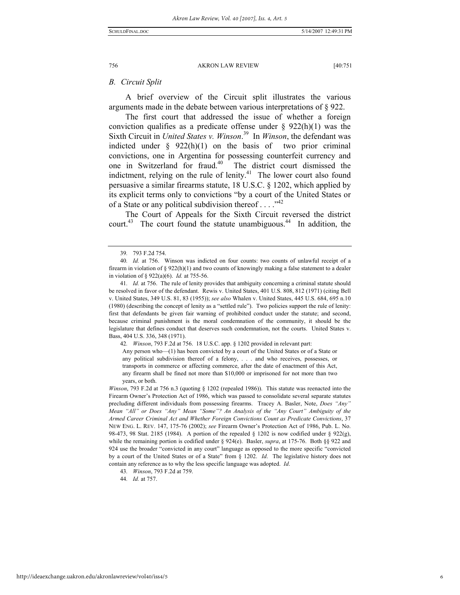#### *B. Circuit Split*

A brief overview of the Circuit split illustrates the various arguments made in the debate between various interpretations of § 922.

The first court that addressed the issue of whether a foreign conviction qualifies as a predicate offense under  $\S$  922(h)(1) was the Sixth Circuit in *United States v. Winson*. 39 In *Winson*, the defendant was indicted under  $\S$  922(h)(1) on the basis of two prior criminal convictions, one in Argentina for possessing counterfeit currency and one in Switzerland for fraud.40 The district court dismissed the indictment, relying on the rule of lenity. $41$  The lower court also found persuasive a similar firearms statute, 18 U.S.C. § 1202, which applied by its explicit terms only to convictions "by a court of the United States or of a State or any political subdivision thereof  $\dots$ ."<sup>42</sup>

The Court of Appeals for the Sixth Circuit reversed the district court.<sup>43</sup> The court found the statute unambiguous.<sup>44</sup> In addition, the

42*. Winson*, 793 F.2d at 756. 18 U.S.C. app. § 1202 provided in relevant part:

Any person who—(1) has been convicted by a court of the United States or of a State or any political subdivision thereof of a felony, . . . and who receives, possesses, or transports in commerce or affecting commerce, after the date of enactment of this Act, any firearm shall be fined not more than \$10,000 or imprisoned for not more than two years, or both.

*Winson*, 793 F.2d at 756 n.3 (quoting § 1202 (repealed 1986)). This statute was reenacted into the Firearm Owner's Protection Act of 1986, which was passed to consolidate several separate statutes precluding different individuals from possessing firearms. Tracey A. Basler, Note, *Does "Any" Mean "All" or Does "Any" Mean "Some"? An Analysis of the "Any Court" Ambiguity of the Armed Career Criminal Act and Whether Foreign Convictions Count as Predicate Convictions*, 37 NEW ENG. L. REV. 147, 175-76 (2002); *see* Firearm Owner's Protection Act of 1986, Pub. L. No. 98-473, 98 Stat. 2185 (1984). A portion of the repealed § 1202 is now codified under § 922(g), while the remaining portion is codified under § 924(e). Basler, *supra*, at 175-76. Both §§ 922 and 924 use the broader "convicted in any court" language as opposed to the more specific "convicted by a court of the United States or of a State" from § 1202. *Id*. The legislative history does not contain any reference as to why the less specific language was adopted. *Id*.

44*. Id.* at 757.

<sup>39</sup>*.* 793 F.2d 754.

<sup>40</sup>*. Id.* at 756. Winson was indicted on four counts: two counts of unlawful receipt of a firearm in violation of  $\S 922(h)(1)$  and two counts of knowingly making a false statement to a dealer in violation of § 922(a)(6). *Id.* at 755-56.

<sup>41</sup>*. Id.* at 756. The rule of lenity provides that ambiguity concerning a criminal statute should be resolved in favor of the defendant. Rewis v. United States, 401 U.S. 808, 812 (1971) (citing Bell v. United States, 349 U.S. 81, 83 (1955)); *see also* Whalen v. United States, 445 U.S. 684, 695 n.10 (1980) (describing the concept of lenity as a "settled rule"). Two policies support the rule of lenity: first that defendants be given fair warning of prohibited conduct under the statute; and second, because criminal punishment is the moral condemnation of the community, it should be the legislature that defines conduct that deserves such condemnation, not the courts. United States v. Bass, 404 U.S. 336, 348 (1971).

<sup>43</sup>*. Winson*, 793 F.2d at 759.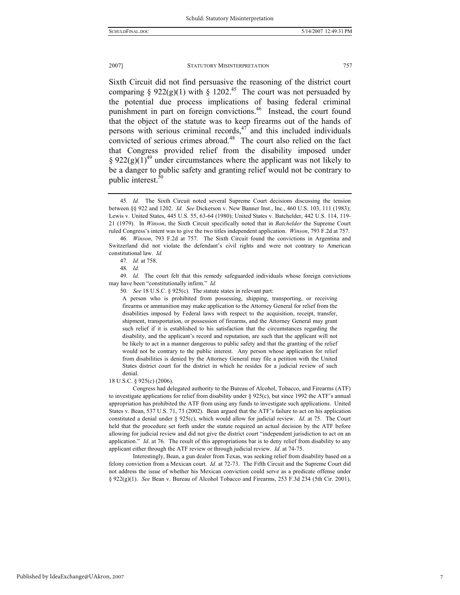Sixth Circuit did not find persuasive the reasoning of the district court comparing § 922(g)(1) with § 1202.<sup>45</sup> The court was not persuaded by the potential due process implications of basing federal criminal punishment in part on foreign convictions.<sup>46</sup> Instead, the court found that the object of the statute was to keep firearms out of the hands of persons with serious criminal records, $47$  and this included individuals convicted of serious crimes abroad.<sup>48</sup> The court also relied on the fact that Congress provided relief from the disability imposed under § 922(g)(1)<sup>49</sup> under circumstances where the applicant was not likely to be a danger to public safety and granting relief would not be contrary to public interest.<sup>5</sup>

A person who is prohibited from possessing, shipping, transporting, or receiving firearms or ammunition may make application to the Attorney General for relief from the disabilities imposed by Federal laws with respect to the acquisition, receipt, transfer, shipment, transportation, or possession of firearms, and the Attorney General may grant such relief if it is established to his satisfaction that the circumstances regarding the disability, and the applicant's record and reputation, are such that the applicant will not be likely to act in a manner dangerous to public safety and that the granting of the relief would not be contrary to the public interest. Any person whose application for relief from disabilities is denied by the Attorney General may file a petition with the United States district court for the district in which he resides for a judicial review of such denial.

#### 18 U.S.C. § 925(c) (2006).

 Congress had delegated authority to the Bureau of Alcohol, Tobacco, and Firearms (ATF) to investigate applications for relief from disability under § 925(c), but since 1992 the ATF's annual appropriation has prohibited the ATF from using any funds to investigate such applications. United States v. Bean, 537 U.S. 71, 73 (2002). Bean argued that the ATF's failure to act on his application constituted a denial under § 925(c), which would allow for judicial review. *Id*. at 75. The Court held that the procedure set forth under the statute required an actual decision by the ATF before allowing for judicial review and did not give the district court "independent jurisdiction to act on an application." *Id*. at 76. The result of this appropriations bar is to deny relief from disability to any applicant either through the ATF review or through judicial review. *Id*. at 74-75.

 Interestingly, Bean, a gun dealer from Texas, was seeking relief from disability based on a felony conviction from a Mexican court. *Id*. at 72-73. The Fifth Circuit and the Supreme Court did not address the issue of whether his Mexican conviction could serve as a predicate offense under § 922(g)(1). *See* Bean v. Bureau of Alcohol Tobacco and Firearms, 253 F.3d 234 (5th Cir. 2001),

<sup>45</sup>*. Id.* The Sixth Circuit noted several Supreme Court decisions discussing the tension between §§ 922 and 1202. *Id. See* Dickerson v. New Banner Inst., Inc., 460 U.S. 103, 111 (1983); Lewis v. United States, 445 U.S. 55, 63-64 (1980); United States v. Batchelder, 442 U.S. 114, 119- 21 (1979). In *Winson*, the Sixth Circuit specifically noted that in *Batchelder* the Supreme Court ruled Congress's intent was to give the two titles independent application. *Winson*, 793 F.2d at 757.

<sup>46</sup>*. Winson*, 793 F.2d at 757. The Sixth Circuit found the convictions in Argentina and Switzerland did not violate the defendant's civil rights and were not contrary to American constitutional law. *Id.* 

<sup>47</sup>*. Id.* at 758.

<sup>48</sup>*. Id.*

<sup>49</sup>*. Id.* The court felt that this remedy safeguarded individuals whose foreign convictions may have been "constitutionally infirm." *Id.*

<sup>50</sup>*. See* 18 U.S.C. § 925(c). The statute states in relevant part: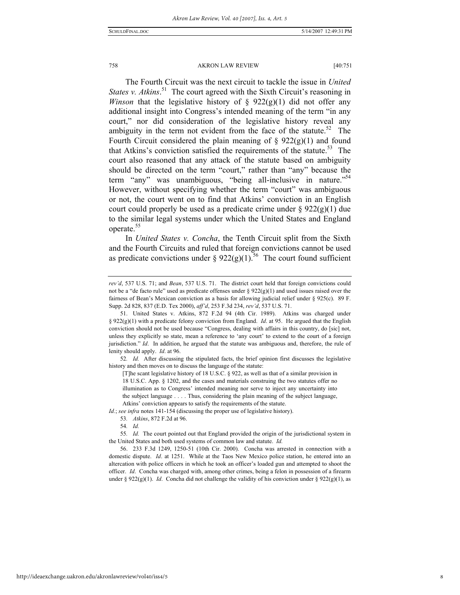The Fourth Circuit was the next circuit to tackle the issue in *United*  States v. Atkins.<sup>51</sup> The court agreed with the Sixth Circuit's reasoning in *Winson* that the legislative history of  $\S$  922(g)(1) did not offer any additional insight into Congress's intended meaning of the term "in any court," nor did consideration of the legislative history reveal any ambiguity in the term not evident from the face of the statute.<sup>52</sup> The Fourth Circuit considered the plain meaning of  $\S 922(g)(1)$  and found that Atkins's conviction satisfied the requirements of the statute.<sup>53</sup> The court also reasoned that any attack of the statute based on ambiguity should be directed on the term "court," rather than "any" because the term "any" was unambiguous, "being all-inclusive in nature."<sup>54</sup> However, without specifying whether the term "court" was ambiguous or not, the court went on to find that Atkins' conviction in an English court could properly be used as a predicate crime under  $\S 922(g)(1)$  due to the similar legal systems under which the United States and England operate.<sup>55</sup>

In *United States v. Concha*, the Tenth Circuit split from the Sixth and the Fourth Circuits and ruled that foreign convictions cannot be used as predicate convictions under §  $922(g)(1)$ .<sup>56</sup> The court found sufficient

52*. Id.* After discussing the stipulated facts, the brief opinion first discusses the legislative history and then moves on to discuss the language of the statute:

[T]he scant legislative history of 18 U.S.C. § 922, as well as that of a similar provision in 18 U.S.C. App. § 1202, and the cases and materials construing the two statutes offer no illumination as to Congress' intended meaning nor serve to inject any uncertainty into the subject language . . . . Thus, considering the plain meaning of the subject language, Atkins' conviction appears to satisfy the requirements of the statute.

*Id.*; *see infra* notes 141-154 (discussing the proper use of legislative history).

*rev'd*, 537 U.S. 71; and *Bean*, 537 U.S. 71. The district court held that foreign convictions could not be a "de facto rule" used as predicate offenses under  $\S 922(g)(1)$  and used issues raised over the fairness of Bean's Mexican conviction as a basis for allowing judicial relief under § 925(c). 89 F. Supp. 2d 828, 837 (E.D. Tex 2000), *aff'd*, 253 F.3d 234, *rev'd*, 537 U.S. 71.

 <sup>51.</sup> United States v. Atkins, 872 F.2d 94 (4th Cir. 1989). Atkins was charged under § 922(g)(1) with a predicate felony conviction from England. *Id*. at 95. He argued that the English conviction should not be used because "Congress, dealing with affairs in this country, do [sic] not, unless they explicitly so state, mean a reference to 'any court' to extend to the court of a foreign jurisdiction." *Id*. In addition, he argued that the statute was ambiguous and, therefore, the rule of lenity should apply. *Id*. at 96.

<sup>53</sup>*. Atkins*, 872 F.2d at 96.

<sup>54</sup>*. Id.*

<sup>55</sup>*. Id.* The court pointed out that England provided the origin of the jurisdictional system in the United States and both used systems of common law and statute. *Id.*

 <sup>56. 233</sup> F.3d 1249, 1250-51 (10th Cir. 2000). Concha was arrested in connection with a domestic dispute. *Id*. at 1251. While at the Taos New Mexico police station, he entered into an altercation with police officers in which he took an officer's loaded gun and attempted to shoot the officer. *Id*. Concha was charged with, among other crimes, being a felon in possession of a firearm under § 922(g)(1). *Id.* Concha did not challenge the validity of his conviction under § 922(g)(1), as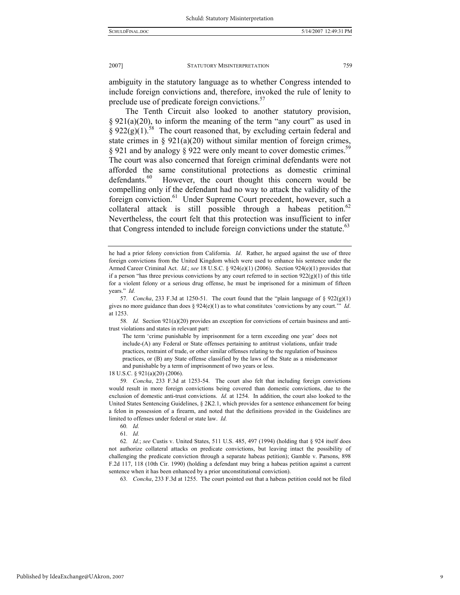ambiguity in the statutory language as to whether Congress intended to include foreign convictions and, therefore, invoked the rule of lenity to preclude use of predicate foreign convictions.<sup>57</sup>

The Tenth Circuit also looked to another statutory provision,  $\S 921(a)(20)$ , to inform the meaning of the term "any court" as used in  $\S 922(g)(1)$ <sup>58</sup> The court reasoned that, by excluding certain federal and state crimes in §  $921(a)(20)$  without similar mention of foreign crimes, § 921 and by analogy § 922 were only meant to cover domestic crimes.<sup>5</sup> The court was also concerned that foreign criminal defendants were not afforded the same constitutional protections as domestic criminal defendants.<sup>60</sup> However, the court thought this concern would be compelling only if the defendant had no way to attack the validity of the foreign conviction.<sup>61</sup> Under Supreme Court precedent, however, such a collateral attack is still possible through a habeas petition.<sup>62</sup> Nevertheless, the court felt that this protection was insufficient to infer that Congress intended to include foreign convictions under the statute.<sup>63</sup>

58*. Id.* Section 921(a)(20) provides an exception for convictions of certain business and antitrust violations and states in relevant part:

The term 'crime punishable by imprisonment for a term exceeding one year' does not include-(A) any Federal or State offenses pertaining to antitrust violations, unfair trade practices, restraint of trade, or other similar offenses relating to the regulation of business practices, or (B) any State offense classified by the laws of the State as a misdemeanor and punishable by a term of imprisonment of two years or less.

18 U.S.C. § 921(a)(20) (2006).

59*. Concha*, 233 F.3d at 1253-54. The court also felt that including foreign convictions would result in more foreign convictions being covered than domestic convictions, due to the exclusion of domestic anti-trust convictions. *Id.* at 1254. In addition, the court also looked to the United States Sentencing Guidelines, § 2K2.1, which provides for a sentence enhancement for being a felon in possession of a firearm, and noted that the definitions provided in the Guidelines are limited to offenses under federal or state law. *Id.*

61*. Id.*

62*. Id.*; *see* Custis v. United States, 511 U.S. 485, 497 (1994) (holding that § 924 itself does not authorize collateral attacks on predicate convictions, but leaving intact the possibility of challenging the predicate conviction through a separate habeas petition); Gamble v. Parsons, 898 F.2d 117, 118 (10th Cir. 1990) (holding a defendant may bring a habeas petition against a current sentence when it has been enhanced by a prior unconstitutional conviction).

63*. Concha*, 233 F.3d at 1255. The court pointed out that a habeas petition could not be filed

he had a prior felony conviction from California. *Id*. Rather, he argued against the use of three foreign convictions from the United Kingdom which were used to enhance his sentence under the Armed Career Criminal Act. *Id*.; *see* 18 U.S.C. § 924(e)(1) (2006). Section 924(e)(1) provides that if a person "has three previous convictions by any court referred to in section  $922(g)(1)$  of this title for a violent felony or a serious drug offense, he must be imprisoned for a minimum of fifteen years." *Id.* 

<sup>57.</sup> Concha, 233 F.3d at 1250-51. The court found that the "plain language of  $\S 922(g)(1)$ gives no more guidance than does § 924(e)(1) as to what constitutes 'convictions by any court.'" *Id*. at 1253.

<sup>60</sup>*. Id.*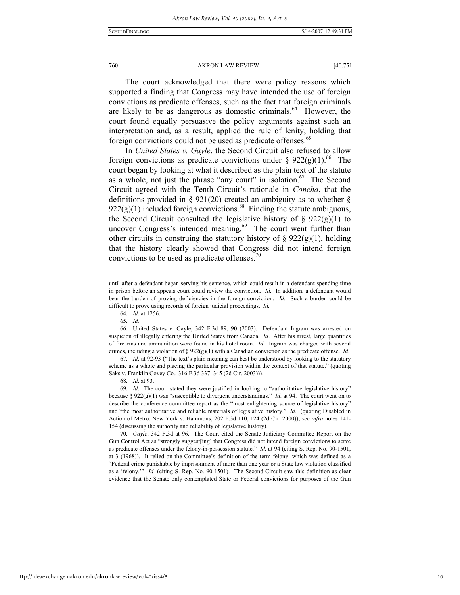The court acknowledged that there were policy reasons which supported a finding that Congress may have intended the use of foreign convictions as predicate offenses, such as the fact that foreign criminals are likely to be as dangerous as domestic criminals. $64$  However, the court found equally persuasive the policy arguments against such an interpretation and, as a result, applied the rule of lenity, holding that foreign convictions could not be used as predicate offenses.<sup>65</sup>

In *United States v. Gayle*, the Second Circuit also refused to allow foreign convictions as predicate convictions under §  $922(g)(1)$ .<sup>66</sup> The court began by looking at what it described as the plain text of the statute as a whole, not just the phrase "any court" in isolation.<sup>67</sup> The Second Circuit agreed with the Tenth Circuit's rationale in *Concha*, that the definitions provided in § 921(20) created an ambiguity as to whether §  $922(g)(1)$  included foreign convictions.<sup>68</sup> Finding the statute ambiguous, the Second Circuit consulted the legislative history of  $\S$  922(g)(1) to uncover Congress's intended meaning.<sup>69</sup> The court went further than other circuits in construing the statutory history of  $\S 922(g)(1)$ , holding that the history clearly showed that Congress did not intend foreign convictions to be used as predicate offenses. $\frac{70}{2}$ 

64*. Id.* at 1256.

65*. Id.*

 66. United States v. Gayle, 342 F.3d 89, 90 (2003). Defendant Ingram was arrested on suspicion of illegally entering the United States from Canada. *Id*. After his arrest, large quantities of firearms and ammunition were found in his hotel room. *Id*. Ingram was charged with several crimes, including a violation of § 922(g)(1) with a Canadian conviction as the predicate offense. *Id*.

67*. Id*. at 92-93 ("The text's plain meaning can best be understood by looking to the statutory scheme as a whole and placing the particular provision within the context of that statute." (quoting Saks v. Franklin Covey Co., 316 F.3d 337, 345 (2d Cir. 2003))).

69*. Id*. The court stated they were justified in looking to "authoritative legislative history" because § 922(g)(1) was "susceptible to divergent understandings." *Id*. at 94. The court went on to describe the conference committee report as the "most enlightening source of legislative history" and "the most authoritative and reliable materials of legislative history." *Id*. (quoting Disabled in Action of Metro. New York v. Hammons, 202 F.3d 110, 124 (2d Cir. 2000)); *see infra* notes 141- 154 (discussing the authority and reliability of legislative history).

70*. Gayle*, 342 F.3d at 96. The Court cited the Senate Judiciary Committee Report on the Gun Control Act as "strongly suggest[ing] that Congress did not intend foreign convictions to serve as predicate offenses under the felony-in-possession statute." *Id.* at 94 (citing S. Rep. No. 90-1501, at 3 (1968)). It relied on the Committee's definition of the term felony, which was defined as a "Federal crime punishable by imprisonment of more than one year or a State law violation classified as a 'felony.'" *Id.* (citing S. Rep. No. 90-1501). The Second Circuit saw this definition as clear evidence that the Senate only contemplated State or Federal convictions for purposes of the Gun

until after a defendant began serving his sentence, which could result in a defendant spending time in prison before an appeals court could review the conviction. *Id.* In addition, a defendant would bear the burden of proving deficiencies in the foreign conviction. *Id.* Such a burden could be difficult to prove using records of foreign judicial proceedings. *Id.*

<sup>68</sup>*. Id*. at 93.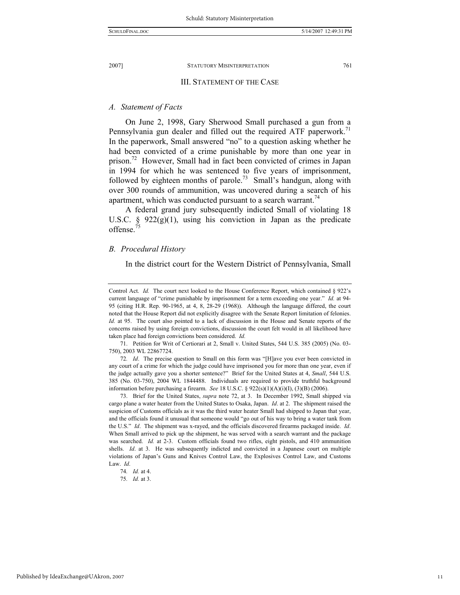#### III. STATEMENT OF THE CASE

### *A. Statement of Facts*

On June 2, 1998, Gary Sherwood Small purchased a gun from a Pennsylvania gun dealer and filled out the required ATF paperwork.<sup>71</sup> In the paperwork, Small answered "no" to a question asking whether he had been convicted of a crime punishable by more than one year in prison.<sup>72</sup> However, Small had in fact been convicted of crimes in Japan in 1994 for which he was sentenced to five years of imprisonment, followed by eighteen months of parole.<sup>73</sup> Small's handgun, along with over 300 rounds of ammunition, was uncovered during a search of his apartment, which was conducted pursuant to a search warrant.<sup>74</sup>

A federal grand jury subsequently indicted Small of violating 18 U.S.C.  $\S$  922(g)(1), using his conviction in Japan as the predicate offense.

#### *B. Procedural History*

In the district court for the Western District of Pennsylvania, Small

 71. Petition for Writ of Certiorari at 2, Small v. United States, 544 U.S. 385 (2005) (No. 03- 750), 2003 WL 22867724.

 73. Brief for the United States, *supra* note 72, at 3. In December 1992, Small shipped via cargo plane a water heater from the United States to Osaka, Japan. *Id*. at 2. The shipment raised the suspicion of Customs officials as it was the third water heater Small had shipped to Japan that year, and the officials found it unusual that someone would "go out of his way to bring a water tank from the U.S." *Id*. The shipment was x-rayed, and the officials discovered firearms packaged inside. *Id*. When Small arrived to pick up the shipment, he was served with a search warrant and the package was searched. *Id.* at 2-3. Custom officials found two rifles, eight pistols, and 410 ammunition shells. *Id.* at 3. He was subsequently indicted and convicted in a Japanese court on multiple violations of Japan's Guns and Knives Control Law, the Explosives Control Law, and Customs Law. *Id*.

Control Act. *Id.* The court next looked to the House Conference Report, which contained § 922's current language of "crime punishable by imprisonment for a term exceeding one year." *Id.* at 94- 95 (citing H.R. Rep. 90-1965, at 4, 8, 28-29 (1968)). Although the language differed, the court noted that the House Report did not explicitly disagree with the Senate Report limitation of felonies. *Id.* at 95. The court also pointed to a lack of discussion in the House and Senate reports of the concerns raised by using foreign convictions, discussion the court felt would in all likelihood have taken place had foreign convictions been considered. *Id.*

<sup>72</sup>*. Id*. The precise question to Small on this form was "[H]ave you ever been convicted in any court of a crime for which the judge could have imprisoned you for more than one year, even if the judge actually gave you a shorter sentence?" Brief for the United States at 4, *Small*, 544 U.S. 385 (No. 03-750), 2004 WL 1844488. Individuals are required to provide truthful background information before purchasing a firearm. *See* 18 U.S.C. § 922(s)(1)(A)(i)(I), (3)(B) (2006).

<sup>74</sup>*. Id.* at 4.

<sup>75</sup>*. Id.* at 3.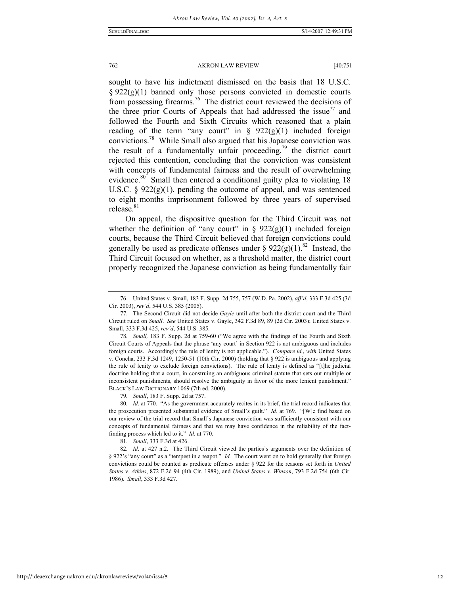sought to have his indictment dismissed on the basis that 18 U.S.C.  $§ 922(g)(1)$  banned only those persons convicted in domestic courts from possessing firearms.<sup>76</sup> The district court reviewed the decisions of the three prior Courts of Appeals that had addressed the issue<sup>77</sup> and followed the Fourth and Sixth Circuits which reasoned that a plain reading of the term "any court" in  $\S$  922(g)(1) included foreign convictions.78 While Small also argued that his Japanese conviction was the result of a fundamentally unfair proceeding,<sup>79</sup> the district court rejected this contention, concluding that the conviction was consistent with concepts of fundamental fairness and the result of overwhelming evidence.<sup>80</sup> Small then entered a conditional guilty plea to violating 18 U.S.C.  $\S$  922(g)(1), pending the outcome of appeal, and was sentenced to eight months imprisonment followed by three years of supervised release.<sup>81</sup>

On appeal, the dispositive question for the Third Circuit was not whether the definition of "any court" in  $\S$  922(g)(1) included foreign courts, because the Third Circuit believed that foreign convictions could generally be used as predicate offenses under §  $922(g)(1)^{82}$  Instead, the Third Circuit focused on whether, as a threshold matter, the district court properly recognized the Japanese conviction as being fundamentally fair

79*. Small*, 183 F. Supp. 2d at 757.

 <sup>76.</sup> United States v. Small, 183 F. Supp. 2d 755, 757 (W.D. Pa. 2002), *aff'd*, 333 F.3d 425 (3d Cir. 2003), *rev'd*, 544 U.S. 385 (2005).

 <sup>77.</sup> The Second Circuit did not decide *Gayle* until after both the district court and the Third Circuit ruled on *Small*. *See* United States v. Gayle, 342 F.3d 89, 89 (2d Cir. 2003); United States v. Small, 333 F.3d 425, *rev'd*, 544 U.S. 385.

<sup>78</sup>*. Small,* 183 F. Supp. 2d at 759-60 ("We agree with the findings of the Fourth and Sixth Circuit Courts of Appeals that the phrase 'any court' in Section 922 is not ambiguous and includes foreign courts. Accordingly the rule of lenity is not applicable."). *Compare id.*, *with* United States v. Concha, 233 F.3d 1249, 1250-51 (10th Cir. 2000) (holding that § 922 is ambiguous and applying the rule of lenity to exclude foreign convictions). The rule of lenity is defined as "[t]he judicial doctrine holding that a court, in construing an ambiguous criminal statute that sets out multiple or inconsistent punishments, should resolve the ambiguity in favor of the more lenient punishment." BLACK'S LAW DICTIONARY 1069 (7th ed. 2000).

<sup>80</sup>*. Id*. at 770. "As the government accurately recites in its brief, the trial record indicates that the prosecution presented substantial evidence of Small's guilt." *Id*. at 769. "[W]e find based on our review of the trial record that Small's Japanese conviction was sufficiently consistent with our concepts of fundamental fairness and that we may have confidence in the reliability of the factfinding process which led to it." *Id*. at 770.

<sup>81</sup>*. Small*, 333 F.3d at 426.

<sup>82</sup>*. Id*. at 427 n.2. The Third Circuit viewed the parties's arguments over the definition of § 922's "any court" as a "tempest in a teapot." *Id.* The court went on to hold generally that foreign convictions could be counted as predicate offenses under § 922 for the reasons set forth in *United States v. Atkins*, 872 F.2d 94 (4th Cir. 1989), and *United States v. Winson*, 793 F.2d 754 (6th Cir. 1986). *Small*, 333 F.3d 427.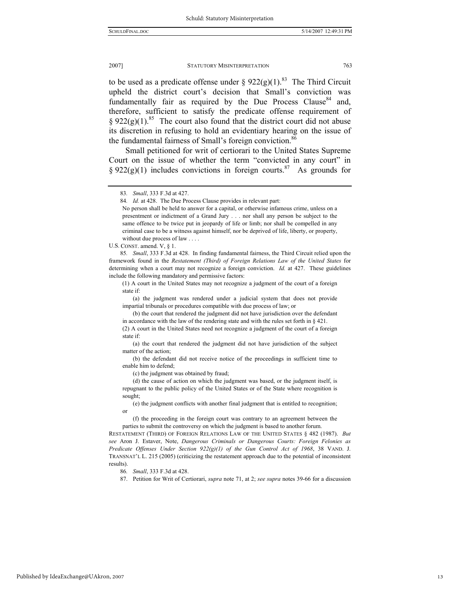to be used as a predicate offense under §  $922(g)(1)$ .<sup>83</sup> The Third Circuit upheld the district court's decision that Small's conviction was fundamentally fair as required by the Due Process Clause<sup>84</sup> and, therefore, sufficient to satisfy the predicate offense requirement of § 922(g)(1).<sup>85</sup> The court also found that the district court did not abuse its discretion in refusing to hold an evidentiary hearing on the issue of the fundamental fairness of Small's foreign conviction.<sup>86</sup>

Small petitioned for writ of certiorari to the United States Supreme Court on the issue of whether the term "convicted in any court" in  $\S 922(g)(1)$  includes convictions in foreign courts.<sup>87</sup> As grounds for

U.S. CONST. amend. V, § 1.

85*. Small*, 333 F.3d at 428. In finding fundamental fairness, the Third Circuit relied upon the framework found in the *Restatement (Third) of Foreign Relations Law of the United States* for determining when a court may not recognize a foreign conviction. *Id.* at 427. These guidelines include the following mandatory and permissive factors:

(1) A court in the United States may not recognize a judgment of the court of a foreign state if:

 (a) the judgment was rendered under a judicial system that does not provide impartial tribunals or procedures compatible with due process of law; or

 (b) the court that rendered the judgment did not have jurisdiction over the defendant in accordance with the law of the rendering state and with the rules set forth in § 421.

 (a) the court that rendered the judgment did not have jurisdiction of the subject matter of the action;

 (b) the defendant did not receive notice of the proceedings in sufficient time to enable him to defend;

(c) the judgment was obtained by fraud;

 (d) the cause of action on which the judgment was based, or the judgment itself, is repugnant to the public policy of the United States or of the State where recognition is sought;

 (e) the judgment conflicts with another final judgment that is entitled to recognition; or

 (f) the proceeding in the foreign court was contrary to an agreement between the parties to submit the controversy on which the judgment is based to another forum.

RESTATEMENT (THIRD) OF FOREIGN RELATIONS LAW OF THE UNITED STATES § 482 (1987). *But see* Aron J. Estaver, Note, *Dangerous Criminals or Dangerous Courts: Foreign Felonies as Predicate Offenses Under Section 922(g)(1) of the Gun Control Act of 1968*, 38 VAND. J. TRANSNAT'L L. 215 (2005) (criticizing the restatement approach due to the potential of inconsistent results).

86*. Small*, 333 F.3d at 428.

87. Petition for Writ of Certiorari, *supra* note 71, at 2; *see supra* notes 39-66 for a discussion

<sup>83</sup>*. Small*, 333 F.3d at 427.

<sup>84</sup>*. Id.* at 428. The Due Process Clause provides in relevant part:

No person shall be held to answer for a capital, or otherwise infamous crime, unless on a presentment or indictment of a Grand Jury . . . nor shall any person be subject to the same offence to be twice put in jeopardy of life or limb; nor shall be compelled in any criminal case to be a witness against himself, nor be deprived of life, liberty, or property, without due process of law . . . .

<sup>(2)</sup> A court in the United States need not recognize a judgment of the court of a foreign state if: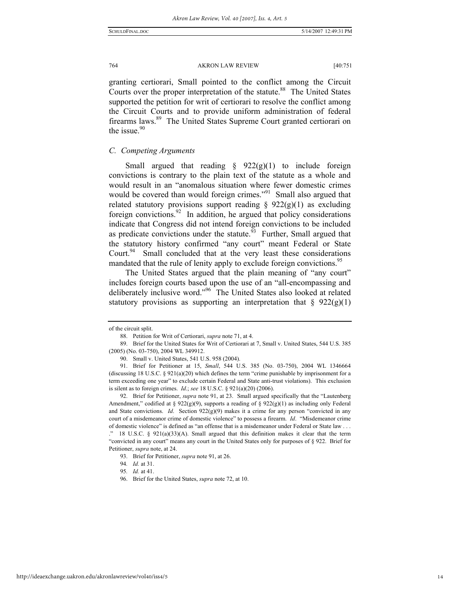granting certiorari, Small pointed to the conflict among the Circuit Courts over the proper interpretation of the statute.<sup>88</sup> The United States supported the petition for writ of certiorari to resolve the conflict among the Circuit Courts and to provide uniform administration of federal firearms laws.<sup>89</sup> The United States Supreme Court granted certiorari on the issue. $90$ 

#### *C. Competing Arguments*

Small argued that reading  $\S$  922(g)(1) to include foreign convictions is contrary to the plain text of the statute as a whole and would result in an "anomalous situation where fewer domestic crimes would be covered than would foreign crimes."<sup>91</sup> Small also argued that related statutory provisions support reading  $\S$  922(g)(1) as excluding foreign convictions.<sup>92</sup> In addition, he argued that policy considerations indicate that Congress did not intend foreign convictions to be included as predicate convictions under the statute.<sup>93</sup> Further, Small argued that the statutory history confirmed "any court" meant Federal or State Court. $94$  Small concluded that at the very least these considerations mandated that the rule of lenity apply to exclude foreign convictions.<sup>95</sup>

The United States argued that the plain meaning of "any court" includes foreign courts based upon the use of an "all-encompassing and deliberately inclusive word."96 The United States also looked at related statutory provisions as supporting an interpretation that  $\S$  922(g)(1)

of the circuit split.

 <sup>88.</sup> Petition for Writ of Certiorari, *supra* note 71, at 4.

 <sup>89.</sup> Brief for the United States for Writ of Certiorari at 7, Small v. United States, 544 U.S. 385 (2005) (No. 03-750), 2004 WL 349912.

 <sup>90.</sup> Small v. United States, 541 U.S. 958 (2004).

 <sup>91.</sup> Brief for Petitioner at 15, *Small*, 544 U.S. 385 (No. 03-750), 2004 WL 1346664 (discussing 18 U.S.C. § 921(a)(20) which defines the term "crime punishable by imprisonment for a term exceeding one year" to exclude certain Federal and State anti-trust violations). This exclusion is silent as to foreign crimes. *Id*.; *see* 18 U.S.C. § 921(a)(20) (2006).

 <sup>92.</sup> Brief for Petitioner, *supra* note 91, at 23. Small argued specifically that the "Lautenberg Amendment," codified at § 922(g)(9), supports a reading of § 922(g)(1) as including only Federal and State convictions. *Id.* Section  $922(g)(9)$  makes it a crime for any person "convicted in any court of a misdemeanor crime of domestic violence" to possess a firearm. *Id*. "Misdemeanor crime of domestic violence" is defined as "an offense that is a misdemeanor under Federal or State law . . .

 $\degree$  18 U.S.C. § 921(a)(33)(A). Small argued that this definition makes it clear that the term "convicted in any court" means any court in the United States only for purposes of § 922. Brief for Petitioner, *supra* note, at 24.

 <sup>93.</sup> Brief for Petitioner, *supra* note 91, at 26.

<sup>94</sup>*. Id.* at 31.

<sup>95</sup>*. Id.* at 41.

 <sup>96.</sup> Brief for the United States, *supra* note 72, at 10.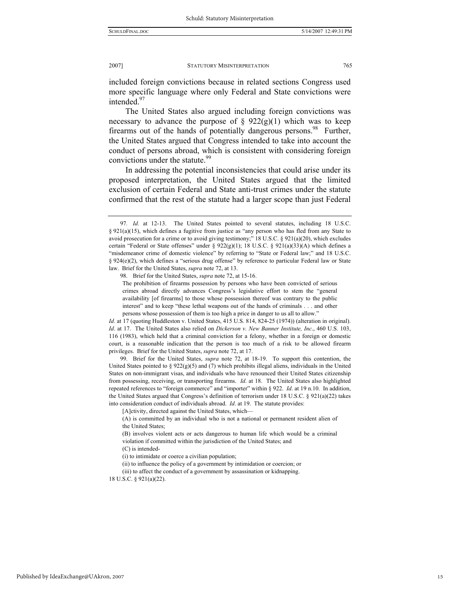included foreign convictions because in related sections Congress used more specific language where only Federal and State convictions were intended<sup>97</sup>

The United States also argued including foreign convictions was necessary to advance the purpose of  $\S$  922(g)(1) which was to keep firearms out of the hands of potentially dangerous persons.<sup>98</sup> Further, the United States argued that Congress intended to take into account the conduct of persons abroad, which is consistent with considering foreign convictions under the statute.<sup>99</sup>

In addressing the potential inconsistencies that could arise under its proposed interpretation, the United States argued that the limited exclusion of certain Federal and State anti-trust crimes under the statute confirmed that the rest of the statute had a larger scope than just Federal

 99. Brief for the United States, *supra* note 72, at 18-19. To support this contention, the United States pointed to  $\S 922(g)(5)$  and (7) which prohibits illegal aliens, individuals in the United States on non-immigrant visas, and individuals who have renounced their United States citizenship from possessing, receiving, or transporting firearms. *Id*. at 18. The United States also highlighted repeated references to "foreign commerce" and "importer" within § 922. *Id*. at 19 n.10. In addition, the United States argued that Congress's definition of terrorism under 18 U.S.C. § 921(a)(22) takes into consideration conduct of individuals abroad. *Id*. at 19. The statute provides:

18 U.S.C. § 921(a)(22).

<sup>97</sup>*. Id.* at 12-13. The United States pointed to several statutes, including 18 U.S.C. § 921(a)(15), which defines a fugitive from justice as "any person who has fled from any State to avoid prosecution for a crime or to avoid giving testimony;" 18 U.S.C. § 921(a)(20), which excludes certain "Federal or State offenses" under §  $922(g)(1)$ ; 18 U.S.C. §  $921(a)(33)(A)$  which defines a "misdemeanor crime of domestic violence" by referring to "State or Federal law;" and 18 U.S.C. § 924(e)(2), which defines a "serious drug offense" by reference to particular Federal law or State law. Brief for the United States, *supra* note 72, at 13.

 <sup>98.</sup> Brief for the United States, *supra* note 72, at 15-16.

The prohibition of firearms possession by persons who have been convicted of serious crimes abroad directly advances Congress's legislative effort to stem the "general availability [of firearms] to those whose possession thereof was contrary to the public interest" and to keep "these lethal weapons out of the hands of criminals . . . and other persons whose possession of them is too high a price in danger to us all to allow."

*Id.* at 17 (quoting Huddleston v. United States, 415 U.S. 814, 824-25 (1974)) (alteration in original). *Id*. at 17. The United States also relied on *Dickerson v. New Banner Institute, Inc*., 460 U.S. 103, 116 (1983), which held that a criminal conviction for a felony, whether in a foreign or domestic court, is a reasonable indication that the person is too much of a risk to be allowed firearm privileges. Brief for the United States, *supra* note 72, at 17.

<sup>[</sup>A]ctivity, directed against the United States, which-

<sup>(</sup>A) is committed by an individual who is not a national or permanent resident alien of the United States;

<sup>(</sup>B) involves violent acts or acts dangerous to human life which would be a criminal violation if committed within the jurisdiction of the United States; and

<sup>(</sup>C) is intended-

<sup>(</sup>i) to intimidate or coerce a civilian population;

<sup>(</sup>ii) to influence the policy of a government by intimidation or coercion; or

<sup>(</sup>iii) to affect the conduct of a government by assassination or kidnapping.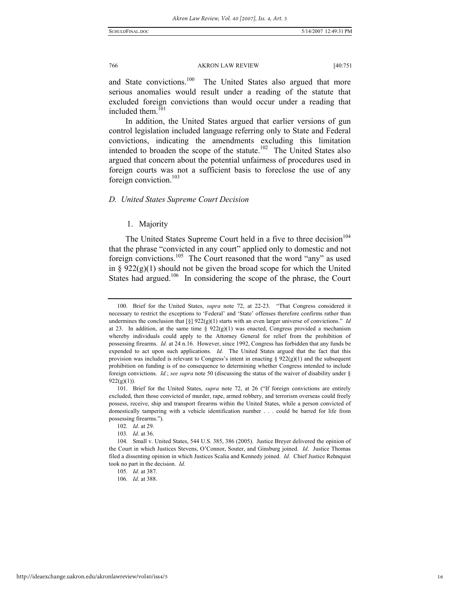and State convictions.<sup>100</sup> The United States also argued that more serious anomalies would result under a reading of the statute that excluded foreign convictions than would occur under a reading that included them.<sup>101</sup>

In addition, the United States argued that earlier versions of gun control legislation included language referring only to State and Federal convictions, indicating the amendments excluding this limitation intended to broaden the scope of the statute.<sup>102</sup> The United States also argued that concern about the potential unfairness of procedures used in foreign courts was not a sufficient basis to foreclose the use of any foreign conviction.<sup>103</sup>

#### *D. United States Supreme Court Decision*

#### 1. Majority

The United States Supreme Court held in a five to three decision<sup>104</sup> that the phrase "convicted in any court" applied only to domestic and not foreign convictions.<sup>105</sup> The Court reasoned that the word "any" as used in §  $922(g)(1)$  should not be given the broad scope for which the United States had argued.<sup>106</sup> In considering the scope of the phrase, the Court

 <sup>100.</sup> Brief for the United States, *supra* note 72, at 22-23. "That Congress considered it necessary to restrict the exceptions to 'Federal' and 'State' offenses therefore confirms rather than undermines the conclusion that  $\lceil \xi \rceil 922(g)(1)$  starts with an even larger universe of convictions." *Id* at 23. In addition, at the same time  $\S 922(g)(1)$  was enacted, Congress provided a mechanism whereby individuals could apply to the Attorney General for relief from the prohibition of possessing firearms. *Id*. at 24 n.16. However, since 1992, Congress has forbidden that any funds be expended to act upon such applications. *Id*. The United States argued that the fact that this provision was included is relevant to Congress's intent in enacting §  $922(g)(1)$  and the subsequent prohibition on funding is of no consequence to determining whether Congress intended to include foreign convictions. *Id.*; *see supra* note 50 (discussing the status of the waiver of disability under §  $922(g)(1)$ ).

 <sup>101.</sup> Brief for the United States, *supra* note 72, at 26 ("If foreign convictions are entirely excluded, then those convicted of murder, rape, armed robbery, and terrorism overseas could freely possess, receive, ship and transport firearms within the United States, while a person convicted of domestically tampering with a vehicle identification number . . . could be barred for life from possessing firearms.").

<sup>102</sup>*. Id*. at 29.

<sup>103</sup>*. Id*. at 36.

 <sup>104.</sup> Small v. United States, 544 U.S. 385, 386 (2005). Justice Breyer delivered the opinion of the Court in which Justices Stevens, O'Connor, Souter, and Ginsburg joined. *Id*. Justice Thomas filed a dissenting opinion in which Justices Scalia and Kennedy joined. *Id*. Chief Justice Rehnquist took no part in the decision. *Id*.

<sup>105</sup>*. Id*. at 387.

<sup>106</sup>*. Id*. at 388.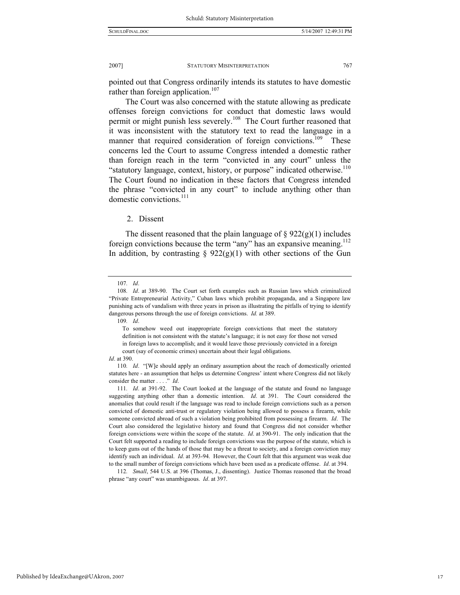pointed out that Congress ordinarily intends its statutes to have domestic rather than foreign application.<sup>107</sup>

The Court was also concerned with the statute allowing as predicate offenses foreign convictions for conduct that domestic laws would permit or might punish less severely.108 The Court further reasoned that it was inconsistent with the statutory text to read the language in a manner that required consideration of foreign convictions.<sup>109</sup> These concerns led the Court to assume Congress intended a domestic rather than foreign reach in the term "convicted in any court" unless the "statutory language, context, history, or purpose" indicated otherwise.<sup>110</sup> The Court found no indication in these factors that Congress intended the phrase "convicted in any court" to include anything other than domestic convictions.<sup>111</sup>

2. Dissent

The dissent reasoned that the plain language of  $\S 922(g)(1)$  includes foreign convictions because the term "any" has an expansive meaning.<sup>112</sup> In addition, by contrasting  $\S$  922(g)(1) with other sections of the Gun

109*. Id*.

112*. Small*, 544 U.S. at 396 (Thomas, J., dissenting). Justice Thomas reasoned that the broad

phrase "any court" was unambiguous. *Id*. at 397.

<sup>107</sup>*. Id*.

<sup>108</sup>*. Id*. at 389-90. The Court set forth examples such as Russian laws which criminalized "Private Entrepreneurial Activity," Cuban laws which prohibit propaganda, and a Singapore law punishing acts of vandalism with three years in prison as illustrating the pitfalls of trying to identify dangerous persons through the use of foreign convictions. *Id.* at 389.

To somehow weed out inappropriate foreign convictions that meet the statutory definition is not consistent with the statute's language; it is not easy for those not versed in foreign laws to accomplish; and it would leave those previously convicted in a foreign court (say of economic crimes) uncertain about their legal obligations.

*Id*. at 390.

<sup>110</sup>*. Id*. "[W]e should apply an ordinary assumption about the reach of domestically oriented statutes here - an assumption that helps us determine Congress' intent where Congress did not likely consider the matter . . . ." *Id*.

<sup>111</sup>*. Id*. at 391-92. The Court looked at the language of the statute and found no language suggesting anything other than a domestic intention. *Id*. at 391. The Court considered the anomalies that could result if the language was read to include foreign convictions such as a person convicted of domestic anti-trust or regulatory violation being allowed to possess a firearm, while someone convicted abroad of such a violation being prohibited from possessing a firearm. *Id*. The Court also considered the legislative history and found that Congress did not consider whether foreign convictions were within the scope of the statute. *Id*. at 390-91. The only indication that the Court felt supported a reading to include foreign convictions was the purpose of the statute, which is to keep guns out of the hands of those that may be a threat to society, and a foreign conviction may identify such an individual. *Id*. at 393-94. However, the Court felt that this argument was weak due to the small number of foreign convictions which have been used as a predicate offense. *Id*. at 394.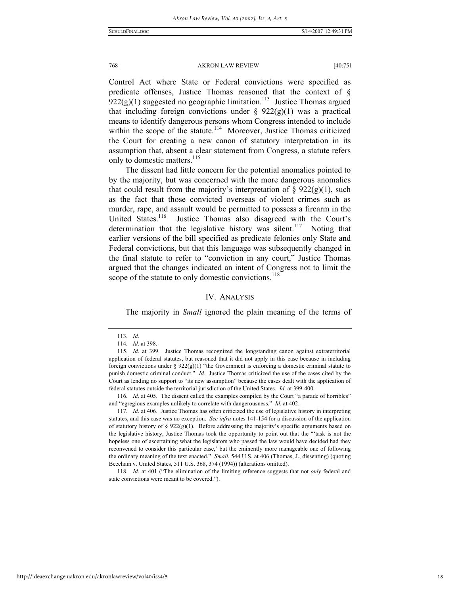Control Act where State or Federal convictions were specified as predicate offenses, Justice Thomas reasoned that the context of §  $922(g)(1)$  suggested no geographic limitation.<sup>113</sup> Justice Thomas argued that including foreign convictions under  $\S$  922(g)(1) was a practical means to identify dangerous persons whom Congress intended to include within the scope of the statute.<sup>114</sup> Moreover, Justice Thomas criticized the Court for creating a new canon of statutory interpretation in its assumption that, absent a clear statement from Congress, a statute refers only to domestic matters.<sup>115</sup>

The dissent had little concern for the potential anomalies pointed to by the majority, but was concerned with the more dangerous anomalies that could result from the majority's interpretation of  $\S$  922(g)(1), such as the fact that those convicted overseas of violent crimes such as murder, rape, and assault would be permitted to possess a firearm in the United States.<sup>116</sup> Justice Thomas also disagreed with the Court's determination that the legislative history was silent.<sup>117</sup> Noting that earlier versions of the bill specified as predicate felonies only State and Federal convictions, but that this language was subsequently changed in the final statute to refer to "conviction in any court," Justice Thomas argued that the changes indicated an intent of Congress not to limit the scope of the statute to only domestic convictions.<sup>118</sup>

#### IV. ANALYSIS

The majority in *Small* ignored the plain meaning of the terms of

117*. Id*. at 406. Justice Thomas has often criticized the use of legislative history in interpreting statutes, and this case was no exception. *See infra* notes 141-154 for a discussion of the application of statutory history of  $\S 922(g)(1)$ . Before addressing the majority's specific arguments based on the legislative history, Justice Thomas took the opportunity to point out that the "'task is not the hopeless one of ascertaining what the legislators who passed the law would have decided had they reconvened to consider this particular case,' but the eminently more manageable one of following the ordinary meaning of the text enacted." *Small*, 544 U.S. at 406 (Thomas, J., dissenting) (quoting Beecham v. United States, 511 U.S. 368, 374 (1994)) (alterations omitted).

118*. Id*. at 401 ("The elimination of the limiting reference suggests that not *only* federal and state convictions were meant to be covered.").

<sup>113</sup>*. Id*.

<sup>114</sup>*. Id*. at 398.

<sup>115</sup>*. Id*. at 399. Justice Thomas recognized the longstanding canon against extraterritorial application of federal statutes, but reasoned that it did not apply in this case because in including foreign convictions under §  $922(g)(1)$  "the Government is enforcing a domestic criminal statute to punish domestic criminal conduct." *Id*. Justice Thomas criticized the use of the cases cited by the Court as lending no support to "its new assumption" because the cases dealt with the application of federal statutes outside the territorial jurisdiction of the United States. *Id*. at 399-400.

<sup>116</sup>*. Id*. at 405. The dissent called the examples compiled by the Court "a parade of horribles" and "egregious examples unlikely to correlate with dangerousness." *Id*. at 402.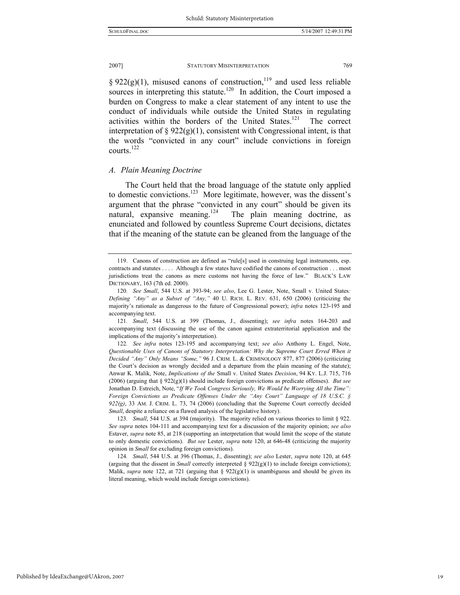§ 922(g)(1), misused canons of construction,<sup>119</sup> and used less reliable sources in interpreting this statute.<sup>120</sup> In addition, the Court imposed a burden on Congress to make a clear statement of any intent to use the conduct of individuals while outside the United States in regulating activities within the borders of the United States.<sup>121</sup> The correct interpretation of  $\S 922(g)(1)$ , consistent with Congressional intent, is that the words "convicted in any court" include convictions in foreign courts.<sup>122</sup>

#### *A. Plain Meaning Doctrine*

The Court held that the broad language of the statute only applied to domestic convictions.123 More legitimate, however, was the dissent's argument that the phrase "convicted in any court" should be given its natural, expansive meaning.<sup>124</sup> The plain meaning doctrine, as enunciated and followed by countless Supreme Court decisions, dictates that if the meaning of the statute can be gleaned from the language of the

121*. Small*, 544 U.S. at 399 (Thomas, J., dissenting); *see infra* notes 164-203 and accompanying text (discussing the use of the canon against extraterritorial application and the implications of the majority's interpretation).

122*. See infra* notes 123-195 and accompanying text; *see also* Anthony L. Engel, Note, *Questionable Uses of Canons of Statutory Interpretation: Why the Supreme Court Erred When it Decided "Any" Only Means "Some,"* 96 J. CRIM. L. & CRIMINOLOGY 877, 877 (2006) (criticizing the Court's decision as wrongly decided and a departure from the plain meaning of the statute); Anwar K. Malik, Note, *Implications of the* Small v. United States *Decision*, 94 KY. L.J. 715, 716 (2006) (arguing that § 922(g)(1) should include foreign convictions as predicate offenses). *But see* Jonathan D. Estreich, Note, "*If We Took Congress Seriously, We Would be Worrying All the Time": Foreign Convictions as Predicate Offenses Under the "Any Court" Language of 18 U.S.C. § 922(g)*, 33 AM. J. CRIM. L. 73, 74 (2006) (concluding that the Supreme Court correctly decided *Small*, despite a reliance on a flawed analysis of the legislative history).

123*. Small*, 544 U.S. at 394 (majority). The majority relied on various theories to limit § 922. *See supra* notes 104-111 and accompanying text for a discussion of the majority opinion; *see also* Estaver, *supra* note 85, at 218 (supporting an interpretation that would limit the scope of the statute to only domestic convictions). *But see* Lester, *supra* note 120, at 646-48 (criticizing the majority opinion in *Small* for excluding foreign convictions).

124*. Small*, 544 U.S. at 396 (Thomas, J., dissenting); *see also* Lester, *supra* note 120, at 645 (arguing that the dissent in *Small* correctly interpreted  $\S 922(g)(1)$  to include foreign convictions); Malik, *supra* note 122, at 721 (arguing that  $\S 922(g)(1)$  is unambiguous and should be given its literal meaning, which would include foreign convictions).

 <sup>119.</sup> Canons of construction are defined as "rule[s] used in construing legal instruments, esp. contracts and statutes . . . . Although a few states have codified the canons of construction . . . most jurisdictions treat the canons as mere customs not having the force of law." BLACK'S LAW DICTIONARY, 163 (7th ed. 2000).

<sup>120</sup>*. See Small*, 544 U.S. at 393-94; *see also*, Lee G. Lester, Note, Small v. United States*: Defining "Any" as a Subset of "Any,"* 40 U. RICH. L. REV. 631, 650 (2006) (criticizing the majority's rationale as dangerous to the future of Congressional power); *infra* notes 123-195 and accompanying text.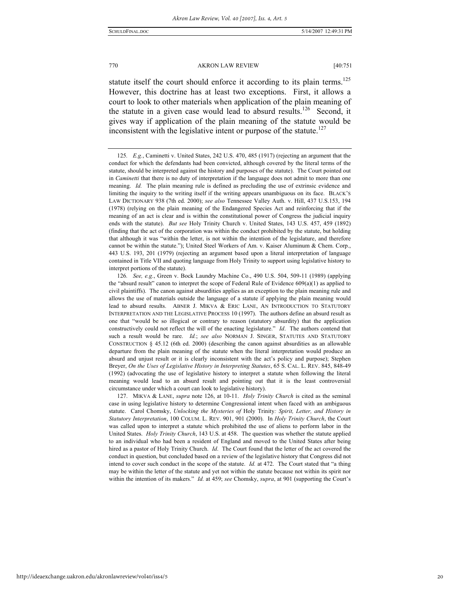statute itself the court should enforce it according to its plain terms.<sup>125</sup> However, this doctrine has at least two exceptions. First, it allows a court to look to other materials when application of the plain meaning of the statute in a given case would lead to absurd results.<sup>126</sup> Second, it gives way if application of the plain meaning of the statute would be inconsistent with the legislative intent or purpose of the statute.<sup>127</sup>

 127. MIKVA & LANE, *supra* note 126, at 10-11. *Holy Trinity Church* is cited as the seminal case in using legislative history to determine Congressional intent when faced with an ambiguous statute. Carol Chomsky, *Unlocking the Mysteries of* Holy Trinity*: Spirit, Letter, and History in Statutory Interpretation*, 100 COLUM. L. REV. 901, 901 (2000). In *Holy Trinity Church*, the Court was called upon to interpret a statute which prohibited the use of aliens to perform labor in the United States. *Holy Trinity Church*, 143 U.S. at 458. The question was whether the statute applied to an individual who had been a resident of England and moved to the United States after being hired as a pastor of Holy Trinity Church. *Id*. The Court found that the letter of the act covered the conduct in question, but concluded based on a review of the legislative history that Congress did not intend to cover such conduct in the scope of the statute. *Id.* at 472. The Court stated that "a thing may be within the letter of the statute and yet not within the statute because not within its spirit nor within the intention of its makers." *Id.* at 459; *see* Chomsky, *supra*, at 901 (supporting the Court's

<sup>125</sup>*. E.g.*, Caminetti v. United States, 242 U.S. 470, 485 (1917) (rejecting an argument that the conduct for which the defendants had been convicted, although covered by the literal terms of the statute, should be interpreted against the history and purposes of the statute). The Court pointed out in *Caminetti* that there is no duty of interpretation if the language does not admit to more than one meaning. *Id.* The plain meaning rule is defined as precluding the use of extrinsic evidence and limiting the inquiry to the writing itself if the writing appears unambiguous on its face. BLACK'S LAW DICTIONARY 938 (7th ed. 2000); *see also* Tennessee Valley Auth. v. Hill, 437 U.S.153, 194 (1978) (relying on the plain meaning of the Endangered Species Act and reinforcing that if the meaning of an act is clear and is within the constitutional power of Congress the judicial inquiry ends with the statute). *But see* Holy Trinity Church v. United States, 143 U.S. 457, 459 (1892) (finding that the act of the corporation was within the conduct prohibited by the statute, but holding that although it was "within the letter, is not within the intention of the legislature, and therefore cannot be within the statute."); United Steel Workers of Am. v. Kaiser Aluminum & Chem. Corp., 443 U.S. 193, 201 (1979) (rejecting an argument based upon a literal interpretation of language contained in Title VII and quoting language from Holy Trinity to support using legislative history to interpret portions of the statute).

<sup>126</sup>*. See, e.g.*, Green v. Bock Laundry Machine Co., 490 U.S. 504, 509-11 (1989) (applying the "absurd result" canon to interpret the scope of Federal Rule of Evidence  $609(a)(1)$  as applied to civil plaintiffs). The canon against absurdities applies as an exception to the plain meaning rule and allows the use of materials outside the language of a statute if applying the plain meaning would lead to absurd results. ABNER J. MIKVA & ERIC LANE, AN INTRODUCTION TO STATUTORY INTERPRETATION AND THE LEGISLATIVE PROCESS 10 (1997). The authors define an absurd result as one that "would be so illogical or contrary to reason (statutory absurdity) that the application constructively could not reflect the will of the enacting legislature." *Id*. The authors contend that such a result would be rare. *Id.*; *see also* NORMAN J. SINGER, STATUTES AND STATUTORY CONSTRUCTION  $\S$  45.12 (6th ed. 2000) (describing the canon against absurdities as an allowable departure from the plain meaning of the statute when the literal interpretation would produce an absurd and unjust result or it is clearly inconsistent with the act's policy and purpose); Stephen Breyer, *On the Uses of Legislative History in Interpreting Statutes*, 65 S. CAL. L. REV. 845, 848-49 (1992) (advocating the use of legislative history to interpret a statute when following the literal meaning would lead to an absurd result and pointing out that it is the least controversial circumstance under which a court can look to legislative history).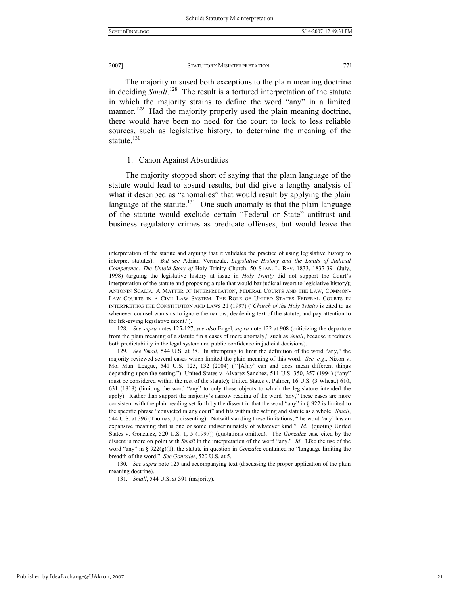The majority misused both exceptions to the plain meaning doctrine in deciding *Small*. 128 The result is a tortured interpretation of the statute in which the majority strains to define the word "any" in a limited manner.<sup>129</sup> Had the majority properly used the plain meaning doctrine, there would have been no need for the court to look to less reliable sources, such as legislative history, to determine the meaning of the statute.<sup>130</sup>

### 1. Canon Against Absurdities

The majority stopped short of saying that the plain language of the statute would lead to absurd results, but did give a lengthy analysis of what it described as "anomalies" that would result by applying the plain language of the statute.<sup>131</sup> One such anomaly is that the plain language of the statute would exclude certain "Federal or State" antitrust and business regulatory crimes as predicate offenses, but would leave the

interpretation of the statute and arguing that it validates the practice of using legislative history to interpret statutes). *But see* Adrian Vermeule, *Legislative History and the Limits of Judicial Competence: The Untold Story of* Holy Trinity Church, 50 STAN. L. REV. 1833, 1837-39 (July, 1998) (arguing the legislative history at issue in *Holy Trinity* did not support the Court's interpretation of the statute and proposing a rule that would bar judicial resort to legislative history); ANTONIN SCALIA, A MATTER OF INTERPRETATION, FEDERAL COURTS AND THE LAW, COMMON-LAW COURTS IN A CIVIL-LAW SYSTEM: THE ROLE OF UNITED STATES FEDERAL COURTS IN INTERPRETING THE CONSTITUTION AND LAWS 21 (1997) ("*Church of the Holy Trinity* is cited to us whenever counsel wants us to ignore the narrow, deadening text of the statute, and pay attention to the life-giving legislative intent.").

<sup>128</sup>*. See supra* notes 125-127; *see also* Engel, *supra* note 122 at 908 (criticizing the departure from the plain meaning of a statute "in a cases of mere anomaly," such as *Small*, because it reduces both predictability in the legal system and public confidence in judicial decisions).

<sup>129</sup>*. See Small*, 544 U.S. at 38. In attempting to limit the definition of the word "any," the majority reviewed several cases which limited the plain meaning of this word. *See, e.g*., Nixon v. Mo. Mun. League, 541 U.S. 125, 132 (2004) ("'[A]ny' can and does mean different things depending upon the setting."); United States v. Alvarez-Sanchez, 511 U.S. 350, 357 (1994) ("any" must be considered within the rest of the statute); United States v. Palmer, 16 U.S. (3 Wheat.) 610, 631 (1818) (limiting the word "any" to only those objects to which the legislature intended the apply). Rather than support the majority's narrow reading of the word "any," these cases are more consistent with the plain reading set forth by the dissent in that the word "any" in § 922 is limited to the specific phrase "convicted in any court" and fits within the setting and statute as a whole. *Small*, 544 U.S. at 396 (Thomas, J., dissenting). Notwithstanding these limitations, "the word 'any' has an expansive meaning that is one or some indiscriminately of whatever kind." *Id*. (quoting United States v. Gonzalez, 520 U.S. 1, 5 (1997)) (quotations omitted). The *Gonzalez* case cited by the dissent is more on point with *Small* in the interpretation of the word "any." *Id*. Like the use of the word "any" in § 922(g)(1), the statute in question in *Gonzalez* contained no "language limiting the breadth of the word." *See Gonzalez*, 520 U.S. at 5.

<sup>130</sup>*. See supra* note 125 and accompanying text (discussing the proper application of the plain meaning doctrine).

<sup>131</sup>*. Small*, 544 U.S. at 391 (majority).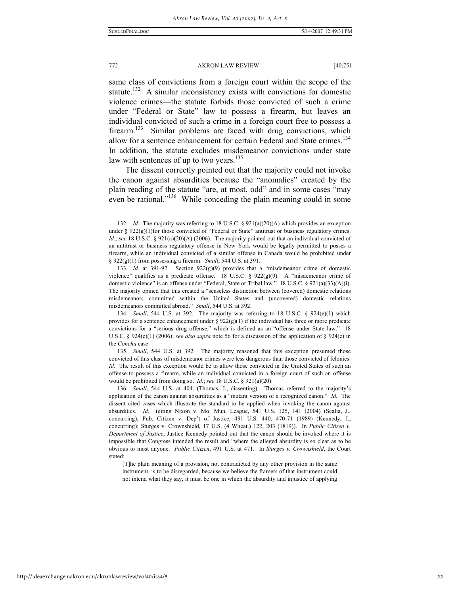same class of convictions from a foreign court within the scope of the statute.<sup>132</sup> A similar inconsistency exists with convictions for domestic violence crimes—the statute forbids those convicted of such a crime under "Federal or State" law to possess a firearm, but leaves an individual convicted of such a crime in a foreign court free to possess a firearm.<sup>133</sup> Similar problems are faced with drug convictions, which allow for a sentence enhancement for certain Federal and State crimes.<sup>134</sup> In addition, the statute excludes misdemeanor convictions under state law with sentences of up to two years. $135$ 

The dissent correctly pointed out that the majority could not invoke the canon against absurdities because the "anomalies" created by the plain reading of the statute "are, at most, odd" and in some cases "may even be rational."<sup>136</sup> While conceding the plain meaning could in some

<sup>132</sup>*. Id*. The majority was referring to 18 U.S.C. § 921(a)(20)(A) which provides an exception under  $\S 922(g)(1)$  for those convicted of "Federal or State" antitrust or business regulatory crimes. *Id.*; see 18 U.S.C. § 921(a)(20)(A) (2006). The majority pointed out that an individual convicted of an antitrust or business regulatory offense in New York would be legally permitted to posses a firearm, while an individual convicted of a similar offense in Canada would be prohibited under § 922(g)(1) from possessing a firearm. *Small*, 544 U.S. at 391.

<sup>133</sup>*. Id.* at 391-92. Section 922(g)(9) provides that a "misdemeanor crime of domestic violence" qualifies as a predicate offense. 18 U.S.C. § 922(g)(9). A "misdemeanor crime of domestic violence" is an offense under "Federal, State or Tribal law." 18 U.S.C. § 921(a)(33)(A)(i). The majority opined that this created a "senseless distinction between (covered) domestic relations misdemeanors committed within the United States and (uncovered) domestic relations misdemeanors committed abroad." *Small*, 544 U.S. at 392.

<sup>134</sup>*. Small*, 544 U.S. at 392*.* The majority was referring to 18 U.S.C. § 924(e)(1) which provides for a sentence enhancement under §  $922(g)(1)$  if the individual has three or more predicate convictions for a "serious drug offense," which is defined as an "offense under State law." 18 U.S.C. § 924(e)(1) (2006); *see also supra* note 56 for a discussion of the application of § 924(e) in the *Concha* case.

<sup>135</sup>*. Small*, 544 U.S. at 392*.* The majority reasoned that this exception presumed those convicted of this class of misdemeanor crimes were less dangerous than those convicted of felonies. *Id*. The result of this exception would be to allow those convicted in the United States of such an offense to possess a firearm, while an individual convicted in a foreign court of such an offense would be prohibited from doing so. *Id*.; *see* 18 U.S.C. § 921(a)(20).

<sup>136</sup>*. Small*, 544 U.S. at 404. (Thomas, J., dissenting). Thomas referred to the majority's application of the canon against absurdities as a "mutant version of a recognized canon." *Id.* The dissent cited cases which illustrate the standard to be applied when invoking the canon against absurdities. *Id.* (citing Nixon v. Mo. Mun. League, 541 U.S. 125, 141 (2004) (Scalia, J., concurring); Pub. Citizen v. Dep't of Justice, 491 U.S. 440, 470-71 (1989) (Kennedy, J., concurring); Sturges v. Crownshield, 17 U.S. (4 Wheat.) 122, 203 (1819)). In *Public Citizen v. Department of Justice*, Justice Kennedy pointed out that the canon should be invoked where it is impossible that Congress intended the result and "where the alleged absurdity is so clear as to be obvious to most anyone. *Public Citizen*, 491 U.S. at 471. In *Sturges v. Crownshield*, the Court stated:

<sup>[</sup>T]he plain meaning of a provision, not contradicted by any other provision in the same instrument, is to be disregarded, because we believe the framers of that instrument could not intend what they say, it must be one in which the absurdity and injustice of applying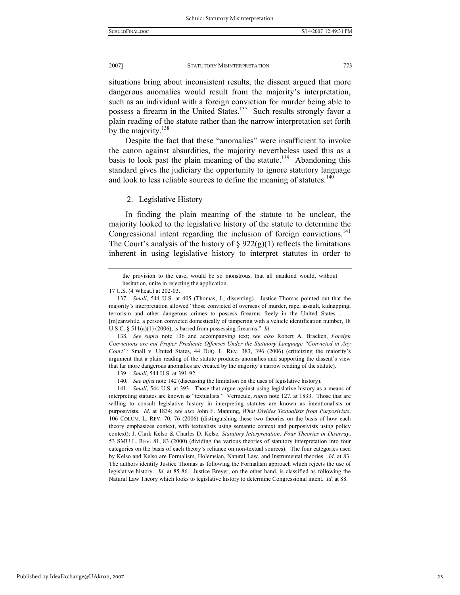situations bring about inconsistent results, the dissent argued that more dangerous anomalies would result from the majority's interpretation, such as an individual with a foreign conviction for murder being able to possess a firearm in the United States.<sup>137</sup> Such results strongly favor a plain reading of the statute rather than the narrow interpretation set forth by the majority. $138$ 

Despite the fact that these "anomalies" were insufficient to invoke the canon against absurdities, the majority nevertheless used this as a basis to look past the plain meaning of the statute.<sup>139</sup> Abandoning this standard gives the judiciary the opportunity to ignore statutory language and look to less reliable sources to define the meaning of statutes.<sup>140</sup>

#### 2. Legislative History

In finding the plain meaning of the statute to be unclear, the majority looked to the legislative history of the statute to determine the Congressional intent regarding the inclusion of foreign convictions.<sup>141</sup> The Court's analysis of the history of  $\S 922(g)(1)$  reflects the limitations inherent in using legislative history to interpret statutes in order to

141*. Small*, 544 U.S. at 393. Those that argue against using legislative history as a means of interpreting statutes are known as "textualists." Vermeule, *supra* note 127, at 1833. Those that are willing to consult legislative history in interpreting statutes are known as intentionalists or purposivists. *Id*. at 1834; *see also* John F. Manning, *What Divides Textualists from Purposivists*, 106 COLUM. L. REV. 70, 76 (2006) (distinguishing these two theories on the basis of how each theory emphasizes context, with textualists using semantic context and purposivists using policy context); J. Clark Kelso & Charles D. Kelso*, Statutory Interpretation: Four Theories in Disarray*, 53 SMU L. REV. 81, 83 (2000) (dividing the various theories of statutory interpretation into four categories on the basis of each theory's reliance on non-textual sources). The four categories used by Kelso and Kelso are Formalism, Holemsian, Natural Law, and Instrumental theories. *Id*. at 83. The authors identify Justice Thomas as following the Formalism approach which rejects the use of legislative history. *Id*. at 85-86. Justice Breyer, on the other hand, is classified as following the Natural Law Theory which looks to legislative history to determine Congressional intent. *Id*. at 88.

the provision to the case, would be so monstrous, that all mankind would, without hesitation, unite in rejecting the application.

<sup>17</sup> U.S. (4 Wheat.) at 202-03.

<sup>137</sup>*. Small*, 544 U.S. at 405 (Thomas, J., dissenting). Justice Thomas pointed out that the majority's interpretation allowed "those convicted of overseas of murder, rape, assault, kidnapping, terrorism and other dangerous crimes to possess firearms freely in the United States . . . [m]eanwhile, a person convicted domestically of tampering with a vehicle identification number, 18 U.S.C. § 511(a)(1) (2006), is barred from possessing firearms." *Id*.

<sup>138</sup>*. See supra* note 136 and accompanying text; *see also* Robert A. Bracken, *Foreign Convictions are not Proper Predicate Offenses Under the Statutory Language "Convicted in Any Court":* Small v. United States, 44 DUQ. L. REV. 383, 396 (2006) (criticizing the majority's argument that a plain reading of the statute produces anomalies and supporting the dissent's view that far more dangerous anomalies are created by the majority's narrow reading of the statute).

<sup>139</sup>*. Small*, 544 U.S. at 391-92.

<sup>140</sup>*. See infra* note 142 (discussing the limitation on the uses of legislative history).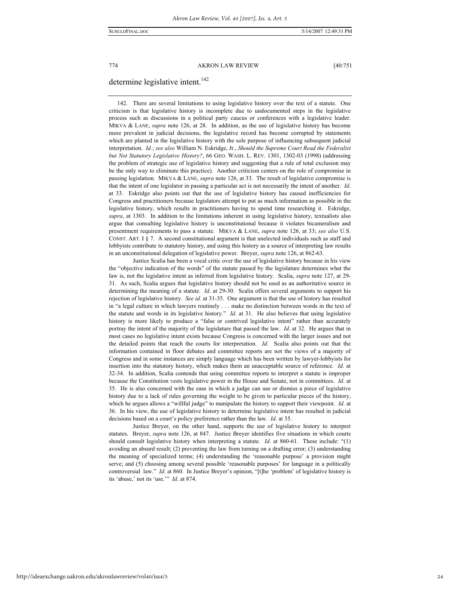# determine legislative intent.<sup>142</sup>

 142. There are several limitations to using legislative history over the text of a statute. One criticism is that legislative history is incomplete due to undocumented steps in the legislative process such as discussions in a political party caucus or conferences with a legislative leader. MIKVA & LANE, *supra* note 126, at 28. In addition, as the use of legislative history has become more prevalent in judicial decisions, the legislative record has become corrupted by statements which are planted in the legislative history with the sole purpose of influencing subsequent judicial interpretation. *Id.*; *see also* William N. Eskridge, Jr., *Should the Supreme Court Read the Federalist but Not Statutory Legislative History?*, 66 GEO. WASH. L. REV. 1301, 1302-03 (1998) (addressing the problem of strategic use of legislative history and suggesting that a rule of total exclusion may be the only way to eliminate this practice). Another criticism centers on the role of compromise in passing legislation. MIKVA & LANE, *supra* note 126, at 33. The result of legislative compromise is that the intent of one legislator in passing a particular act is not necessarily the intent of another. *Id*. at 33. Eskridge also points out that the use of legislative history has caused inefficiencies for Congress and practitioners because legislators attempt to put as much information as possible in the legislative history, which results in practitioners having to spend time researching it. Eskridge, *supra*, at 1303. In addition to the limitations inherent in using legislative history, textualists also argue that consulting legislative history is unconstitutional because it violates bicameralism and presentment requirements to pass a statute. MIKVA & LANE, *supra* note 126, at 33; *see also* U.S. CONST. ART. I § 7. A second constitutional argument is that unelected individuals such as staff and lobbyists contribute to statutory history, and using this history as a source of interpreting law results in an unconstitutional delegation of legislative power. Breyer, *supra* note 126, at 862-63.

 Justice Scalia has been a vocal critic over the use of legislative history because in his view the "objective indication of the words" of the statute passed by the legislature determines what the law is, not the legislative intent as inferred from legislative history. Scalia, *supra* note 127, at 29- 31. As such, Scalia argues that legislative history should not be used as an authoritative source in determining the meaning of a statute. *Id*. at 29-30. Scalia offers several arguments to support his rejection of legislative history. *See id.* at 31-35. One argument is that the use of history has resulted in "a legal culture in which lawyers routinely . . . make no distinction between words in the text of the statute and words in its legislative history." *Id*. at 31. He also believes that using legislative history is more likely to produce a "false or contrived legislative intent" rather than accurately portray the intent of the majority of the legislature that passed the law. *Id*. at 32. He argues that in most cases no legislative intent exists because Congress is concerned with the larger issues and not the detailed points that reach the courts for interpretation. *Id*. Scalia also points out that the information contained in floor debates and committee reports are not the views of a majority of Congress and in some instances are simply language which has been written by lawyer-lobbyists for insertion into the statutory history, which makes them an unacceptable source of reference. *Id*. at 32-34. In addition, Scalia contends that using committee reports to interpret a statute is improper because the Constitution vests legislative power in the House and Senate, not in committees. *Id*. at 35. He is also concerned with the ease in which a judge can use or dismiss a piece of legislative history due to a lack of rules governing the weight to be given to particular pieces of the history, which he argues allows a "willful judge" to manipulate the history to support their viewpoint. *Id*. at 36. In his view, the use of legislative history to determine legislative intent has resulted in judicial decisions based on a court's policy preference rather than the law. *Id*. at 35.

 Justice Breyer, on the other hand, supports the use of legislative history to interpret statutes. Breyer, *supra* note 126, at 847. Justice Breyer identifies five situations in which courts should consult legislative history when interpreting a statute. *Id*. at 860-61. These include: "(1) avoiding an absurd result; (2) preventing the law from turning on a drafting error; (3) understanding the meaning of specialized terms; (4) understanding the 'reasonable purpose' a provision might serve; and (5) choosing among several possible 'reasonable purposes' for language in a politically controversial law." *Id*. at 860. In Justice Breyer's opinion, "[t]he 'problem' of legislative history is its 'abuse,' not its 'use.'" *Id*. at 874.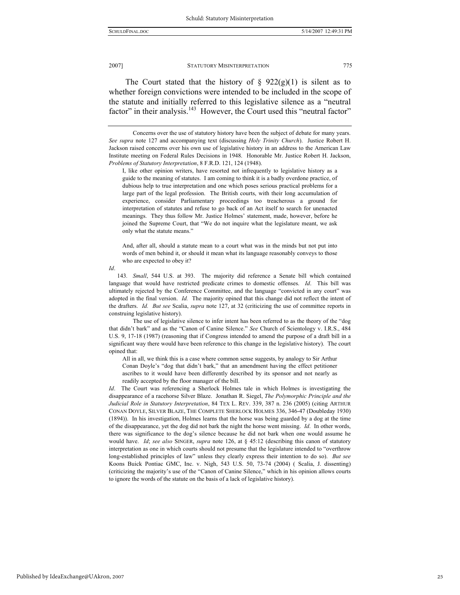The Court stated that the history of  $\S$  922(g)(1) is silent as to whether foreign convictions were intended to be included in the scope of the statute and initially referred to this legislative silence as a "neutral factor" in their analysis.<sup>143</sup> However, the Court used this "neutral factor"

I, like other opinion writers, have resorted not infrequently to legislative history as a guide to the meaning of statutes. I am coming to think it is a badly overdone practice, of dubious help to true interpretation and one which poses serious practical problems for a large part of the legal profession. The British courts, with their long accumulation of experience, consider Parliamentary proceedings too treacherous a ground for interpretation of statutes and refuse to go back of an Act itself to search for unenacted meanings. They thus follow Mr. Justice Holmes' statement, made, however, before he joined the Supreme Court, that "We do not inquire what the legislature meant, we ask only what the statute means."

And, after all, should a statute mean to a court what was in the minds but not put into words of men behind it, or should it mean what its language reasonably conveys to those who are expected to obey it?

*Id*.

143*. Small*, 544 U.S. at 393. The majority did reference a Senate bill which contained language that would have restricted predicate crimes to domestic offenses. *Id*. This bill was ultimately rejected by the Conference Committee, and the language "convicted in any court" was adopted in the final version. *Id.* The majority opined that this change did not reflect the intent of the drafters. *Id. But see* Scalia, *supra* note 127, at 32 (criticizing the use of committee reports in construing legislative history).

 The use of legislative silence to infer intent has been referred to as the theory of the "dog that didn't bark" and as the "Canon of Canine Silence." *See* Church of Scientology v. I.R.S., 484 U.S. 9, 17-18 (1987) (reasoning that if Congress intended to amend the purpose of a draft bill in a significant way there would have been reference to this change in the legislative history). The court opined that:

All in all, we think this is a case where common sense suggests, by analogy to Sir Arthur Conan Doyle's "dog that didn't bark," that an amendment having the effect petitioner ascribes to it would have been differently described by its sponsor and not nearly as readily accepted by the floor manager of the bill.

*Id*. The Court was referencing a Sherlock Holmes tale in which Holmes is investigating the disappearance of a racehorse Silver Blaze. Jonathan R. Siegel, *The Polymorphic Principle and the Judicial Role in Statutory Interpretation*, 84 TEX L. REV. 339, 387 n. 236 (2005) (citing ARTHUR CONAN DOYLE, SILVER BLAZE, THE COMPLETE SHERLOCK HOLMES 336, 346-47 (Doubleday 1930) (1894)). In his investigation, Holmes learns that the horse was being guarded by a dog at the time of the disappearance, yet the dog did not bark the night the horse went missing. *Id*. In other words, there was significance to the dog's silence because he did not bark when one would assume he would have. *Id*; *see also* SINGER, *supra* note 126, at § 45:12 (describing this canon of statutory interpretation as one in which courts should not presume that the legislature intended to "overthrow long-established principles of law" unless they clearly express their intention to do so). *But see* Koons Buick Pontiac GMC, Inc. v. Nigh, 543 U.S. 50, 73-74 (2004) ( Scalia, J. dissenting) (criticizing the majority's use of the "Canon of Canine Silence," which in his opinion allows courts to ignore the words of the statute on the basis of a lack of legislative history).

Concerns over the use of statutory history have been the subject of debate for many years. *See supra* note 127 and accompanying text (discussing *Holy Trinity Church*). Justice Robert H. Jackson raised concerns over his own use of legislative history in an address to the American Law Institute meeting on Federal Rules Decisions in 1948. Honorable Mr. Justice Robert H. Jackson, *Problems of Statutory Interpretation*, 8 F.R.D. 121, 124 (1948).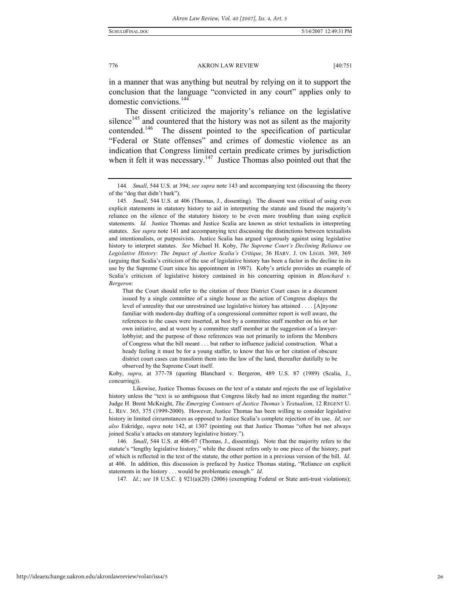in a manner that was anything but neutral by relying on it to support the conclusion that the language "convicted in any court" applies only to domestic convictions.144

The dissent criticized the majority's reliance on the legislative silence<sup>145</sup> and countered that the history was not as silent as the majority contended.<sup>146</sup> The dissent pointed to the specification of particular "Federal or State offenses" and crimes of domestic violence as an indication that Congress limited certain predicate crimes by jurisdiction when it felt it was necessary.<sup>147</sup> Justice Thomas also pointed out that the

Koby, *supra*, at 377-78 (quoting Blanchard v. Bergeron, 489 U.S. 87 (1989) (Scalia, J., concurring)).

 Likewise, Justice Thomas focuses on the text of a statute and rejects the use of legislative history unless the "text is so ambiguous that Congress likely had no intent regarding the matter." Judge H. Brent McKnight, *The Emerging Contours of Justice Thomas's Textualism*, 12 REGENT U. L. REV. 365, 375 (1999-2000). However, Justice Thomas has been willing to consider legislative history in limited circumstances as opposed to Justice Scalia's complete rejection of its use. *Id*; *see also* Eskridge, *supra* note 142, at 1307 (pointing out that Justice Thomas "often but not always joined Scalia's attacks on statutory legislative history.").

146*. Small*, 544 U.S. at 406-07 (Thomas, J., dissenting). Note that the majority refers to the statute's "lengthy legislative history," while the dissent refers only to one piece of the history, part of which is reflected in the text of the statute, the other portion in a previous version of the bill. *Id*. at 406. In addition, this discussion is prefaced by Justice Thomas stating, "Reliance on explicit statements in the history . . . would be problematic enough." *Id*.

147*. Id.*; *see* 18 U.S.C. § 921(a)(20) (2006) (exempting Federal or State anti-trust violations);

<sup>144</sup>*. Small*, 544 U.S. at 394; *see supra* note 143 and accompanying text (discussing the theory of the "dog that didn't bark").

<sup>145</sup>*. Small*, 544 U.S. at 406 (Thomas, J., dissenting). The dissent was critical of using even explicit statements in statutory history to aid in interpreting the statute and found the majority's reliance on the silence of the statutory history to be even more troubling than using explicit statements. *Id.* Justice Thomas and Justice Scalia are known as strict textualists in interpreting statutes. *See supra* note 141 and accompanying text discussing the distinctions between textualists and intentionalists, or purposivists. Justice Scalia has argued vigorously against using legislative history to interpret statutes. *See* Michael H. Koby, *The Supreme Court's Declining Reliance on Legislative History*: *The Impact of Justice Scalia's Critique*, 36 HARV. J. ON LEGIS. 369, 369 (arguing that Scalia's criticism of the use of legislative history has been a factor in the decline in its use by the Supreme Court since his appointment in 1987). Koby's article provides an example of Scalia's criticism of legislative history contained in his concurring opinion in *Blanchard v. Bergeron*:

That the Court should refer to the citation of three District Court cases in a document issued by a single committee of a single house as the action of Congress displays the level of unreality that our unrestrained use legislative history has attained . . . . [A]nyone familiar with modern-day drafting of a congressional committee report is well aware, the references to the cases were inserted, at best by a committee staff member on his or her own initiative, and at worst by a committee staff member at the suggestion of a lawyerlobbyist; and the purpose of those references was not primarily to inform the Members of Congress what the bill meant . . . but rather to influence judicial construction. What a heady feeling it must be for a young staffer, to know that his or her citation of obscure district court cases can transform them into the law of the land, thereafter dutifully to be observed by the Supreme Court itself.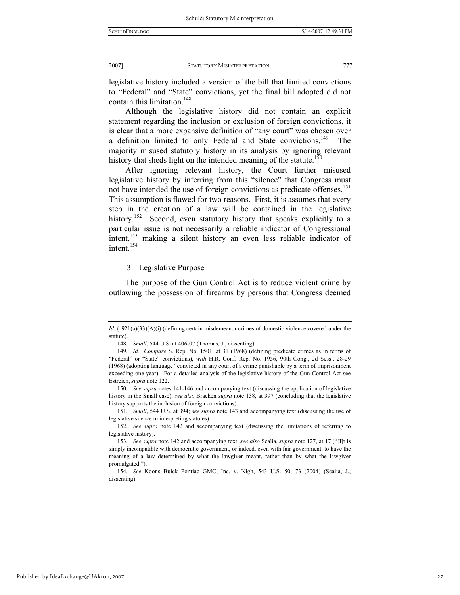legislative history included a version of the bill that limited convictions to "Federal" and "State" convictions, yet the final bill adopted did not contain this limitation.<sup>148</sup>

Although the legislative history did not contain an explicit statement regarding the inclusion or exclusion of foreign convictions, it is clear that a more expansive definition of "any court" was chosen over a definition limited to only Federal and State convictions.<sup>149</sup> The majority misused statutory history in its analysis by ignoring relevant history that sheds light on the intended meaning of the statute.<sup>150</sup>

After ignoring relevant history, the Court further misused legislative history by inferring from this "silence" that Congress must not have intended the use of foreign convictions as predicate offenses.<sup>151</sup> This assumption is flawed for two reasons. First, it is assumes that every step in the creation of a law will be contained in the legislative history.<sup>152</sup> Second, even statutory history that speaks explicitly to a particular issue is not necessarily a reliable indicator of Congressional intent,<sup>153</sup> making a silent history an even less reliable indicator of intent.<sup>154</sup>

### 3. Legislative Purpose

The purpose of the Gun Control Act is to reduce violent crime by outlawing the possession of firearms by persons that Congress deemed

*Id.* § 921(a)(33)(A)(i) (defining certain misdemeanor crimes of domestic violence covered under the statute).

<sup>148</sup>*. Small*, 544 U.S. at 406-07 (Thomas, J., dissenting).

<sup>149</sup>*. Id. Compare* S. Rep. No. 1501, at 31 (1968) (defining predicate crimes as in terms of "Federal" or "State" convictions), *with* H.R. Conf. Rep. No. 1956, 90th Cong., 2d Sess., 28-29 (1968) (adopting language "convicted in any court of a crime punishable by a term of imprisonment exceeding one year). For a detailed analysis of the legislative history of the Gun Control Act see Estreich, *supra* note 122.

<sup>150</sup>*. See supra* notes 141-146 and accompanying text (discussing the application of legislative history in the Small case); *see also* Bracken *supra* note 138, at 397 (concluding that the legislative history supports the inclusion of foreign convictions).

<sup>151</sup>*. Small*, 544 U.S. at 394; *see supra* note 143 and accompanying text (discussing the use of legislative silence in interpreting statutes).

<sup>152</sup>*. See supra* note 142 and accompanying text (discussing the limitations of referring to legislative history).

<sup>153</sup>*. See supra* note 142 and accompanying text; *see also* Scalia, *supra* note 127, at 17 ("[I]t is simply incompatible with democratic government, or indeed, even with fair government, to have the meaning of a law determined by what the lawgiver meant, rather than by what the lawgiver promulgated.").

<sup>154</sup>*. See* Koons Buick Pontiac GMC, Inc. v. Nigh, 543 U.S. 50, 73 (2004) (Scalia, J., dissenting).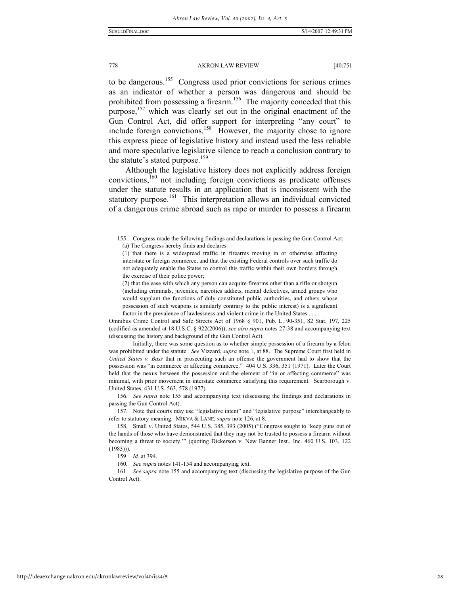to be dangerous.<sup>155</sup> Congress used prior convictions for serious crimes as an indicator of whether a person was dangerous and should be prohibited from possessing a firearm.<sup>156</sup> The majority conceded that this purpose,<sup>157</sup> which was clearly set out in the original enactment of the Gun Control Act, did offer support for interpreting "any court" to include foreign convictions.<sup>158</sup> However, the majority chose to ignore this express piece of legislative history and instead used the less reliable and more speculative legislative silence to reach a conclusion contrary to the statute's stated purpose.<sup>159</sup>

Although the legislative history does not explicitly address foreign convictions,160 not including foreign convictions as predicate offenses under the statute results in an application that is inconsistent with the statutory purpose.<sup>161</sup> This interpretation allows an individual convicted of a dangerous crime abroad such as rape or murder to possess a firearm

Omnibus Crime Control and Safe Streets Act of 1968 § 901, Pub. L. 90-351, 82 Stat. 197, 225 (codified as amended at 18 U.S.C. § 922(2006)); *see also supra* notes 27-38 and accompanying text (discussing the history and background of the Gun Control Act).

 Initially, there was some question as to whether simple possession of a firearm by a felon was prohibited under the statute. *See* Vizzard, *supra* note 1, at 88. The Supreme Court first held in *United States v. Bass* that in prosecuting such an offense the government had to show that the possession was "in commerce or affecting commerce." 404 U.S. 336, 351 (1971). Later the Court held that the nexus between the possession and the element of "in or affecting commerce" was minimal, with prior movement in interstate commerce satisfying this requirement. Scarborough v. United States, 431 U.S. 563, 578 (1977).

156*. See supra* note 155 and accompanying text (discussing the findings and declarations in passing the Gun Control Act).

 157. Note that courts may use "legislative intent" and "legislative purpose" interchangeably to refer to statutory meaning. MIKVA & LANE, *supra* note 126, at 8.

 <sup>155.</sup> Congress made the following findings and declarations in passing the Gun Control Act: (a) The Congress hereby finds and declares—

<sup>(1)</sup> that there is a widespread traffic in firearms moving in or otherwise affecting interstate or foreign commerce, and that the existing Federal controls over such traffic do not adequately enable the States to control this traffic within their own borders through the exercise of their police power;

<sup>(2)</sup> that the ease with which any person can acquire firearms other than a rifle or shotgun (including criminals, juveniles, narcotics addicts, mental defectives, armed groups who would supplant the functions of duly constituted public authorities, and others whose possession of such weapons is similarly contrary to the public interest) is a significant factor in the prevalence of lawlessness and violent crime in the United States . . . .

 <sup>158.</sup> Small v. United States, 544 U.S. 385, 393 (2005) ("Congress sought to 'keep guns out of the hands of those who have demonstrated that they may not be trusted to possess a firearm without becoming a threat to society.'" (quoting Dickerson v. New Banner Inst., Inc. 460 U.S. 103, 122 (1983))).

<sup>159</sup>*. Id.* at 394.

<sup>160</sup>*. See supra* notes 141-154 and accompanying text.

<sup>161</sup>*. See supra* note 155 and accompanying text (discussing the legislative purpose of the Gun Control Act).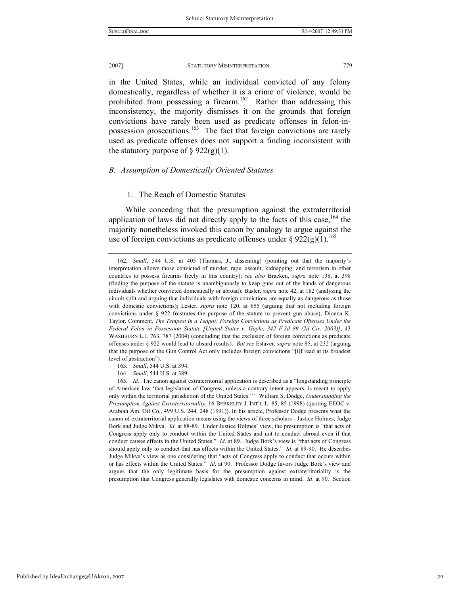in the United States, while an individual convicted of any felony domestically, regardless of whether it is a crime of violence, would be

prohibited from possessing a firearm.<sup>162</sup> Rather than addressing this inconsistency, the majority dismisses it on the grounds that foreign convictions have rarely been used as predicate offenses in felon-inpossession prosecutions.163 The fact that foreign convictions are rarely used as predicate offenses does not support a finding inconsistent with the statutory purpose of  $\S 922(g)(1)$ .

#### *B. Assumption of Domestically Oriented Statutes*

### 1. The Reach of Domestic Statutes

While conceding that the presumption against the extraterritorial application of laws did not directly apply to the facts of this case,  $164$  the majority nonetheless invoked this canon by analogy to argue against the use of foreign convictions as predicate offenses under §  $922(g)(1)$ .<sup>165</sup>

164*. Small*, 544 U.S. at 389.

165*. Id.* The canon against extraterritorial application is described as a "longstanding principle of American law 'that legislation of Congress, unless a contrary intent appears, is meant to apply only within the territorial jurisdiction of the United States.''' William S. Dodge, *Understanding the Presumption Against Extraterritoriality*, 16 BERKELEY J. INT'L L. 85, 85 (1998) (quoting EEOC v. Arabian Am. Oil Co., 499 U.S. 244, 248 (1991)). In his article, Professor Dodge presents what the canon of extraterritorial application means using the views of three scholars - Justice Holmes, Judge Bork and Judge Mikva. *Id*. at 88-89. Under Justice Holmes' view, the presumption is "that acts of Congress apply only to conduct within the United States and not to conduct abroad even if that conduct causes effects in the United States." *Id*. at 89. Judge Bork's view is "that acts of Congress should apply only to conduct that has effects within the United States." *Id*. at 89-90. He describes Judge Mikva's view as one considering that "acts of Congress apply to conduct that occurs within or has effects within the United States." *Id*. at 90. Professor Dodge favors Judge Bork's view and argues that the only legitimate basis for the presumption against extraterritoriality is the presumption that Congress generally legislates with domestic concerns in mind. *Id*. at 90. Section

<sup>162</sup>*. Small*, 544 U.S. at 405 (Thomas, J., dissenting) (pointing out that the majority's interpretation allows those convicted of murder, rape, assault, kidnapping, and terrorism in other countries to possess firearms freely in this country); *see also* Bracken, *supra* note 138, at 398 (finding the purpose of the statute is unambiguously to keep guns out of the hands of dangerous individuals whether convicted domestically or abroad); Basler, *supra* note 42, at 182 (analyzing the circuit split and arguing that individuals with foreign convictions are equally as dangerous as those with domestic convictions); Lester, *supra* note 120, at 655 (arguing that not including foreign convictions under § 922 frustrates the purpose of the statute to prevent gun abuse); Dionna K. Taylor, Comment, *The Tempest in a Teapot: Foreign Convictions as Predicate Offenses Under the Federal Felon in Possession Statute [United States v. Gayle, 342 F.3d 89 (2d Cir. 2003)]*, 43 WASHBURN L.J. 763, 787 (2004) (concluding that the exclusion of foreign convictions as predicate offenses under § 922 would lead to absurd results). *But see* Estaver, *supra* note 85, at 232 (arguing that the purpose of the Gun Control Act only includes foreign convictions "[i]f read at its broadest level of abstraction").

<sup>163</sup>*. Small*, 544 U.S. at 394.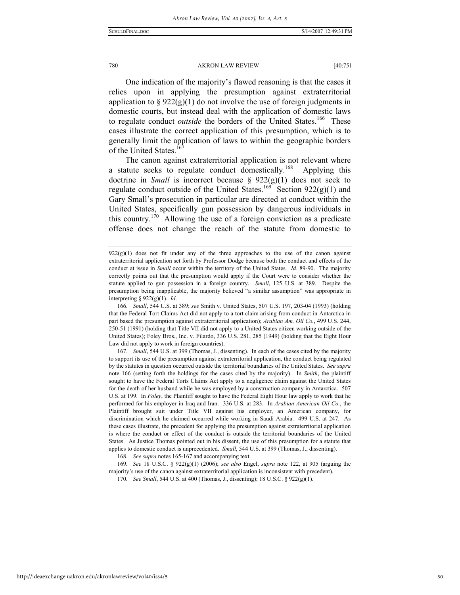One indication of the majority's flawed reasoning is that the cases it relies upon in applying the presumption against extraterritorial application to  $\S 922(g)(1)$  do not involve the use of foreign judgments in domestic courts, but instead deal with the application of domestic laws to regulate conduct *outside* the borders of the United States.<sup>166</sup> These cases illustrate the correct application of this presumption, which is to generally limit the application of laws to within the geographic borders of the United States.

The canon against extraterritorial application is not relevant where a statute seeks to regulate conduct domestically.<sup>168</sup> Applying this doctrine in *Small* is incorrect because § 922(g)(1) does not seek to regulate conduct outside of the United States.<sup>169</sup> Section 922(g)(1) and Gary Small's prosecution in particular are directed at conduct within the United States, specifically gun possession by dangerous individuals in this country.170 Allowing the use of a foreign conviction as a predicate offense does not change the reach of the statute from domestic to

167*. Small*, 544 U.S. at 399 (Thomas, J., dissenting). In each of the cases cited by the majority to support its use of the presumption against extraterritorial application, the conduct being regulated by the statutes in question occurred outside the territorial boundaries of the United States. *See supra* note 166 (setting forth the holdings for the cases cited by the majority). In *Smith*, the plaintiff sought to have the Federal Torts Claims Act apply to a negligence claim against the United States for the death of her husband while he was employed by a construction company in Antarctica. 507 U.S. at 199. In *Foley*, the Plaintiff sought to have the Federal Eight Hour law apply to work that he performed for his employer in Iraq and Iran. 336 U.S. at 283. In *Arabian American Oil Co.*, the Plaintiff brought suit under Title VII against his employer, an American company, for discrimination which he claimed occurred while working in Saudi Arabia. 499 U.S. at 247. As these cases illustrate, the precedent for applying the presumption against extraterritorial application is where the conduct or effect of the conduct is outside the territorial boundaries of the United States. As Justice Thomas pointed out in his dissent, the use of this presumption for a statute that applies to domestic conduct is unprecedented. *Small*, 544 U.S. at 399 (Thomas, J., dissenting).

168*. See supra* notes 165-167 and accompanying text.

169*. See* 18 U.S.C. § 922(g)(1) (2006); *see also* Engel, *supra* note 122, at 905 (arguing the majority's use of the canon against extraterritorial application is inconsistent with precedent).

 $922(g)(1)$  does not fit under any of the three approaches to the use of the canon against extraterritorial application set forth by Professor Dodge because both the conduct and effects of the conduct at issue in *Small* occur within the territory of the United States. *Id*. 89-90. The majority correctly points out that the presumption would apply if the Court were to consider whether the statute applied to gun possession in a foreign country. *Small*, 125 U.S. at 389. Despite the presumption being inapplicable, the majority believed "a similar assumption" was appropriate in interpreting § 922(g)(1). *Id*.

<sup>166</sup>*. Small*, 544 U.S. at 389; *see* Smith v. United States, 507 U.S. 197, 203-04 (1993) (holding that the Federal Tort Claims Act did not apply to a tort claim arising from conduct in Antarctica in part based the presumption against extraterritorial application); *Arabian Am. Oil Co.*, 499 U.S. 244, 250-51 (1991) (holding that Title VII did not apply to a United States citizen working outside of the United States); Foley Bros., Inc. v. Filardo, 336 U.S. 281, 285 (1949) (holding that the Eight Hour Law did not apply to work in foreign countries).

<sup>170</sup>*. See Small*, 544 U.S. at 400 (Thomas, J., dissenting); 18 U.S.C. § 922(g)(1).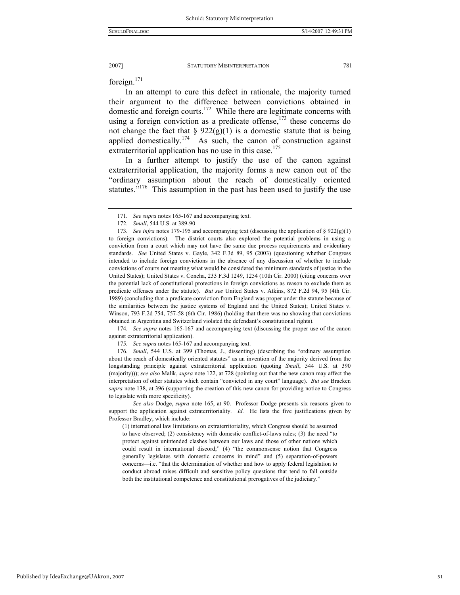foreign.<sup>171</sup>

In an attempt to cure this defect in rationale, the majority turned their argument to the difference between convictions obtained in domestic and foreign courts.<sup>172</sup> While there are legitimate concerns with using a foreign conviction as a predicate offense, $173$  these concerns do not change the fact that  $\S 922(g)(1)$  is a domestic statute that is being applied domestically.<sup>174</sup> As such, the canon of construction against extraterritorial application has no use in this case.<sup>175</sup>

In a further attempt to justify the use of the canon against extraterritorial application, the majority forms a new canon out of the "ordinary assumption about the reach of domestically oriented statutes."<sup>176</sup> This assumption in the past has been used to justify the use

174*. See supra* notes 165-167 and accompanying text (discussing the proper use of the canon against extraterritorial application).

175*. See supra* notes 165-167 and accompanying text.

176*. Small*, 544 U.S. at 399 (Thomas, J., dissenting) (describing the "ordinary assumption about the reach of domestically oriented statutes" as an invention of the majority derived from the longstanding principle against extraterritorial application (quoting *Small*, 544 U.S. at 390 (majority))); *see also* Malik, *supra* note 122, at 728 (pointing out that the new canon may affect the interpretation of other statutes which contain "convicted in any court" language). *But see* Bracken *supra* note 138, at 396 (supporting the creation of this new canon for providing notice to Congress to legislate with more specificity).

 *See also* Dodge, *supra* note 165, at 90. Professor Dodge presents six reasons given to support the application against extraterritoriality. *Id.* He lists the five justifications given by Professor Bradley, which include:

(1) international law limitations on extraterritoriality, which Congress should be assumed to have observed; (2) consistency with domestic conflict-of-laws rules; (3) the need "to protect against unintended clashes between our laws and those of other nations which could result in international discord;" (4) "the commonsense notion that Congress generally legislates with domestic concerns in mind" and (5) separation-of-powers concerns—i.e. "that the determination of whether and how to apply federal legislation to conduct abroad raises difficult and sensitive policy questions that tend to fall outside both the institutional competence and constitutional prerogatives of the judiciary."

<sup>171</sup>*. See supra* notes 165-167 and accompanying text.

<sup>172</sup>*. Small*, 544 U.S. at 389-90

<sup>173</sup>*. See infra* notes 179-195 and accompanying text (discussing the application of § 922(g)(1) to foreign convictions). The district courts also explored the potential problems in using a conviction from a court which may not have the same due process requirements and evidentiary standards. *See* United States v. Gayle, 342 F.3d 89, 95 (2003) (questioning whether Congress intended to include foreign convictions in the absence of any discussion of whether to include convictions of courts not meeting what would be considered the minimum standards of justice in the United States); United States v. Concha, 233 F.3d 1249, 1254 (10th Cir. 2000) (citing concerns over the potential lack of constitutional protections in foreign convictions as reason to exclude them as predicate offenses under the statute). *But see* United States v. Atkins, 872 F.2d 94, 95 (4th Cir. 1989) (concluding that a predicate conviction from England was proper under the statute because of the similarities between the justice systems of England and the United States); United States v. Winson, 793 F.2d 754, 757-58 (6th Cir. 1986) (holding that there was no showing that convictions obtained in Argentina and Switzerland violated the defendant's constitutional rights).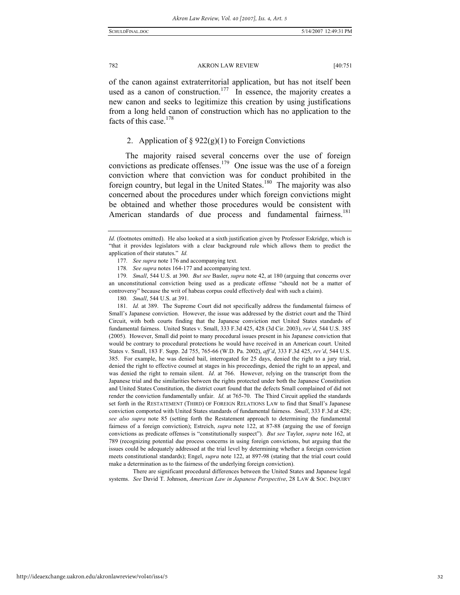of the canon against extraterritorial application, but has not itself been used as a canon of construction.<sup>177</sup> In essence, the majority creates a new canon and seeks to legitimize this creation by using justifications from a long held canon of construction which has no application to the facts of this case.<sup>178</sup>

### 2. Application of  $\S 922(g)(1)$  to Foreign Convictions

The majority raised several concerns over the use of foreign convictions as predicate offenses.179 One issue was the use of a foreign conviction where that conviction was for conduct prohibited in the foreign country, but legal in the United States.<sup>180</sup> The majority was also concerned about the procedures under which foreign convictions might be obtained and whether those procedures would be consistent with American standards of due process and fundamental fairness.<sup>181</sup>

181*. Id.* at 389. The Supreme Court did not specifically address the fundamental fairness of Small's Japanese conviction. However, the issue was addressed by the district court and the Third Circuit, with both courts finding that the Japanese conviction met United States standards of fundamental fairness. United States v. Small, 333 F.3d 425, 428 (3d Cir. 2003), *rev'd*, 544 U.S. 385 (2005). However, Small did point to many procedural issues present in his Japanese conviction that would be contrary to procedural protections he would have received in an American court. United States v. Small, 183 F. Supp. 2d 755, 765-66 (W.D. Pa. 2002), *aff'd*, 333 F.3d 425, *rev'd*, 544 U.S. 385. For example, he was denied bail, interrogated for 25 days, denied the right to a jury trial, denied the right to effective counsel at stages in his proceedings, denied the right to an appeal, and was denied the right to remain silent. *Id*. at 766. However, relying on the transcript from the Japanese trial and the similarities between the rights protected under both the Japanese Constitution and United States Constitution, the district court found that the defects Small complained of did not render the conviction fundamentally unfair. *Id.* at 765-70. The Third Circuit applied the standards set forth in the RESTATEMENT (THIRD) OF FOREIGN RELATIONS LAW to find that Small's Japanese conviction comported with United States standards of fundamental fairness. *Small*, 333 F.3d at 428; *see also supra* note 85 (setting forth the Restatement approach to determining the fundamental fairness of a foreign conviction); Estreich, *supra* note 122, at 87-88 (arguing the use of foreign convictions as predicate offenses is "constitutionally suspect"). *But see* Taylor, *supra* note 162, at 789 (recognizing potential due process concerns in using foreign convictions, but arguing that the issues could be adequately addressed at the trial level by determining whether a foreign conviction meets constitutional standards); Engel, *supra* note 122, at 897-98 (stating that the trial court could make a determination as to the fairness of the underlying foreign conviction).

 There are significant procedural differences between the United States and Japanese legal systems. *See* David T. Johnson, *American Law in Japanese Perspective*, 28 LAW & SOC. INQUIRY

*Id.* (footnotes omitted). He also looked at a sixth justification given by Professor Eskridge, which is "that it provides legislators with a clear background rule which allows them to predict the application of their statutes." *Id.*

<sup>177</sup>*. See supra* note 176 and accompanying text.

<sup>178</sup>*. See supra* notes 164-177 and accompanying text.

<sup>179</sup>*. Small*, 544 U.S. at 390. *But see* Basler, *supra* note 42, at 180 (arguing that concerns over an unconstitutional conviction being used as a predicate offense "should not be a matter of controversy" because the writ of habeas corpus could effectively deal with such a claim).

<sup>180</sup>*. Small*, 544 U.S. at 391.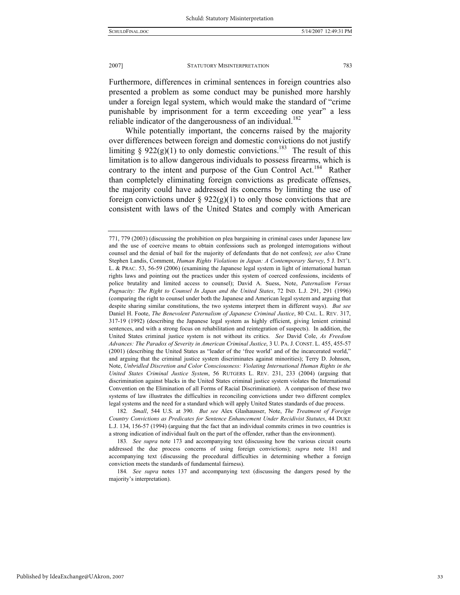Furthermore, differences in criminal sentences in foreign countries also presented a problem as some conduct may be punished more harshly under a foreign legal system, which would make the standard of "crime punishable by imprisonment for a term exceeding one year" a less reliable indicator of the dangerousness of an individual.<sup>182</sup>

While potentially important, the concerns raised by the majority over differences between foreign and domestic convictions do not justify limiting § 922(g)(1) to only domestic convictions.<sup>183</sup> The result of this limitation is to allow dangerous individuals to possess firearms, which is contrary to the intent and purpose of the Gun Control Act.<sup>184</sup> Rather than completely eliminating foreign convictions as predicate offenses, the majority could have addressed its concerns by limiting the use of foreign convictions under  $\S 922(g)(1)$  to only those convictions that are consistent with laws of the United States and comply with American

184*. See supra* notes 137 and accompanying text (discussing the dangers posed by the majority's interpretation).

<sup>771, 779 (2003) (</sup>discussing the prohibition on plea bargaining in criminal cases under Japanese law and the use of coercive means to obtain confessions such as prolonged interrogations without counsel and the denial of bail for the majority of defendants that do not confess); *see also* Crane Stephen Landis, Comment, *Human Rights Violations in Japan: A Contemporary Survey*, 5 J. INT'L L. & PRAC. 53, 56-59 (2006) (examining the Japanese legal system in light of international human rights laws and pointing out the practices under this system of coerced confessions, incidents of police brutality and limited access to counsel); David A. Suess, Note, *Paternalism Versus Pugnacity: The Right to Counsel In Japan and the United States*, 72 IND. L.J. 291, 291 (1996) (comparing the right to counsel under both the Japanese and American legal system and arguing that despite sharing similar constitutions, the two systems interpret them in different ways). *But see* Daniel H. Foote, *The Benevolent Paternalism of Japanese Criminal Justice*, 80 CAL. L. REV. 317, 317-19 (1992) (describing the Japanese legal system as highly efficient, giving lenient criminal sentences, and with a strong focus on rehabilitation and reintegration of suspects). In addition, the United States criminal justice system is not without its critics. *See* David Cole, *As Freedom Advances: The Paradox of Severity in American Criminal Justice*, 3 U. PA. J. CONST. L. 455, 455-57 (2001) (describing the United States as "leader of the 'free world' and of the incarcerated world," and arguing that the criminal justice system discriminates against minorities); Terry D. Johnson, Note, *Unbridled Discretion and Color Consciousness: Violating International Human Rights in the United States Criminal Justice System*, 56 RUTGERS L. REV. 231, 233 (2004) (arguing that discrimination against blacks in the United States criminal justice system violates the International Convention on the Elimination of all Forms of Racial Discrimination). A comparison of these two systems of law illustrates the difficulties in reconciling convictions under two different complex legal systems and the need for a standard which will apply United States standards of due process.

<sup>182</sup>*. Small*, 544 U.S. at 390. *But see* Alex Glashausser, Note, *The Treatment of Foreign Country Convictions as Predicates for Sentence Enhancement Under Recidivist Statutes*, 44 DUKE L.J. 134, 156-57 (1994) (arguing that the fact that an individual commits crimes in two countries is a strong indication of individual fault on the part of the offender, rather than the environment).

<sup>183</sup>*. See supra* note 173 and accompanying text (discussing how the various circuit courts addressed the due process concerns of using foreign convictions); *supra* note 181 and accompanying text (discussing the procedural difficulties in determining whether a foreign conviction meets the standards of fundamental fairness).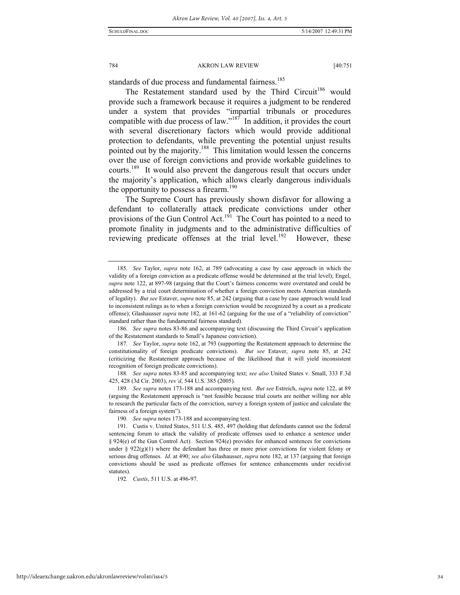standards of due process and fundamental fairness.<sup>185</sup>

The Restatement standard used by the Third Circuit<sup>186</sup> would provide such a framework because it requires a judgment to be rendered under a system that provides "impartial tribunals or procedures compatible with due process of law." $187$  In addition, it provides the court with several discretionary factors which would provide additional protection to defendants, while preventing the potential unjust results pointed out by the majority.<sup>188</sup> This limitation would lessen the concerns over the use of foreign convictions and provide workable guidelines to courts.<sup>189</sup> It would also prevent the dangerous result that occurs under the majority's application, which allows clearly dangerous individuals the opportunity to possess a firearm. $190$ 

The Supreme Court has previously shown disfavor for allowing a defendant to collaterally attack predicate convictions under other provisions of the Gun Control Act.<sup>191</sup> The Court has pointed to a need to promote finality in judgments and to the administrative difficulties of reviewing predicate offenses at the trial level.<sup>192</sup> However, these

186*. See supra* notes 83-86 and accompanying text (discussing the Third Circuit's application of the Restatement standards to Small's Japanese conviction).

187*. See* Taylor, *supra* note 162, at 793 (supporting the Restatement approach to determine the constitutionality of foreign predicate convictions). *But see* Estaver, *supra* note 85, at 242 (criticizing the Restatement approach because of the likelihood that it will yield inconsistent recognition of foreign predicate convictions).

188*. See supra* notes 83-85 and accompanying text; *see also* United States v. Small, 333 F.3d 425, 428 (3d Cir. 2003), *rev'd*, 544 U.S. 385 (2005).

189*. See supra* notes 173-188 and accompanying text. *But see* Estreich, *supra* note 122, at 89 (arguing the Restatement approach is "not feasible because trial courts are neither willing nor able to research the particular facts of the conviction, survey a foreign system of justice and calculate the fairness of a foreign system").

190*. See supra* notes 173-188 and accompanying text.

192*. Custis*, 511 U.S. at 496-97.

34

<sup>185</sup>*. See* Taylor, *supra* note 162, at 789 (advocating a case by case approach in which the validity of a foreign conviction as a predicate offense would be determined at the trial level); Engel, *supra* note 122, at 897-98 (arguing that the Court's fairness concerns were overstated and could be addressed by a trial court determination of whether a foreign conviction meets American standards of legality). *But see* Estaver, *supra* note 85, at 242 (arguing that a case by case approach would lead to inconsistent rulings as to when a foreign conviction would be recognized by a court as a predicate offense); Glashausser *supra* note 182, at 161-62 (arguing for the use of a "reliability of conviction" standard rather than the fundamental fairness standard).

 <sup>191.</sup> Custis v. United States, 511 U.S. 485, 497 (holding that defendants cannot use the federal sentencing forum to attack the validity of predicate offenses used to enhance a sentence under § 924(e) of the Gun Control Act). Section 924(e) provides for enhanced sentences for convictions under § 922(g)(1) where the defendant has three or more prior convictions for violent felony or serious drug offenses. *Id*. at 490; *see also* Glashausser, *supra* note 182, at 137 (arguing that foreign convictions should be used as predicate offenses for sentence enhancements under recidivist statutes).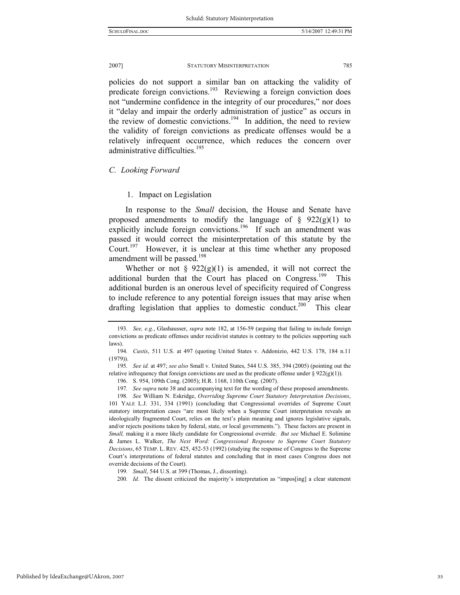policies do not support a similar ban on attacking the validity of predicate foreign convictions.<sup>193</sup> Reviewing a foreign conviction does not "undermine confidence in the integrity of our procedures," nor does it "delay and impair the orderly administration of justice" as occurs in the review of domestic convictions.<sup>194</sup> In addition, the need to review the validity of foreign convictions as predicate offenses would be a relatively infrequent occurrence, which reduces the concern over administrative difficulties.<sup>195</sup>

#### *C. Looking Forward*

#### 1. Impact on Legislation

In response to the *Small* decision, the House and Senate have proposed amendments to modify the language of  $\S$  922(g)(1) to explicitly include foreign convictions.<sup>196</sup> If such an amendment was passed it would correct the misinterpretation of this statute by the Court.<sup>197</sup> However, it is unclear at this time whether any proposed amendment will be passed.<sup>198</sup>

Whether or not §  $922(g)(1)$  is amended, it will not correct the additional burden that the Court has placed on Congress.<sup>199</sup> This additional burden is an onerous level of specificity required of Congress to include reference to any potential foreign issues that may arise when drafting legislation that applies to domestic conduct.<sup>200</sup> This clear

196. S. 954, 109th Cong. (2005); H.R. 1168, 110th Cong. (2007).

197*. See supra* note 38 and accompanying text for the wording of these proposed amendments.

<sup>193</sup>*. See, e.g.*, Glashausser, *supra* note 182, at 156-59 (arguing that failing to include foreign convictions as predicate offenses under recidivist statutes is contrary to the policies supporting such laws).

<sup>194</sup>*. Custis*, 511 U.S. at 497 (quoting United States v. Addonizio, 442 U.S. 178, 184 n.11 (1979)).

<sup>195</sup>*. See id.* at 497; *see also* Small v. United States, 544 U.S. 385, 394 (2005) (pointing out the relative infrequency that foreign convictions are used as the predicate offense under  $\S 922(g)(1)$ ).

<sup>198</sup>*. See* William N. Eskridge, *Overriding Supreme Court Statutory Interpretation Decisions*, 101 YALE L.J. 331, 334 (1991) (concluding that Congressional overrides of Supreme Court statutory interpretation cases "are most likely when a Supreme Court interpretation reveals an ideologically fragmented Court, relies on the text's plain meaning and ignores legislative signals, and/or rejects positions taken by federal, state, or local governments."). These factors are present in *Small,* making it a more likely candidate for Congressional override. *But see* Michael E. Solimine & James L. Walker, *The Next Word: Congressional Response to Supreme Court Statutory Decisions*, 65 TEMP. L. REV. 425, 452-53 (1992) (studying the response of Congress to the Supreme Court's interpretations of federal statutes and concluding that in most cases Congress does not override decisions of the Court).

<sup>199</sup>*. Small*, 544 U.S. at 399 (Thomas, J., dissenting).

<sup>200</sup>*. Id*. The dissent criticized the majority's interpretation as "impos[ing] a clear statement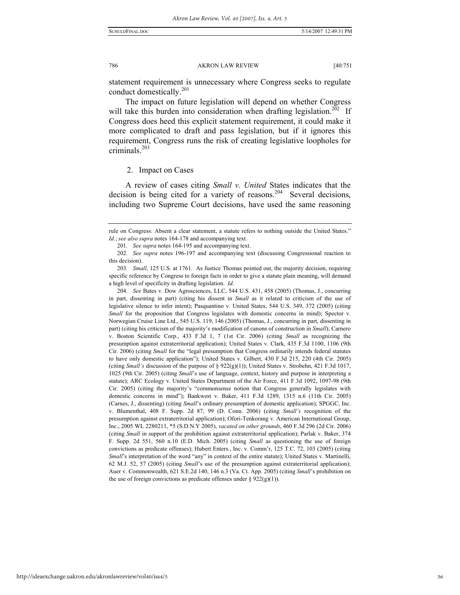statement requirement is unnecessary where Congress seeks to regulate conduct domestically.<sup>201</sup>

The impact on future legislation will depend on whether Congress will take this burden into consideration when drafting legislation.<sup>202</sup> If Congress does heed this explicit statement requirement, it could make it more complicated to draft and pass legislation, but if it ignores this requirement, Congress runs the risk of creating legislative loopholes for criminals.<sup>203</sup>

#### 2. Impact on Cases

A review of cases citing *Small v. United* States indicates that the decision is being cited for a variety of reasons.<sup>204</sup> Several decisions, including two Supreme Court decisions, have used the same reasoning

rule on Congress: Absent a clear statement, a statute refers to nothing outside the United States." *Id.*; *see also supra* notes 164-178 and accompanying text.

<sup>201</sup>*. See supra* notes 164-195 and accompanying text.

<sup>202</sup>*. See supra* notes 196-197 and accompanying text (discussing Congressional reaction to this decision).

<sup>203</sup>*. Small*, 125 U.S. at 1761. As Justice Thomas pointed out, the majority decision, requiring specific reference by Congress to foreign facts in order to give a statute plain meaning, will demand a high level of specificity in drafting legislation. *Id*.

<sup>204</sup>*. See* Bates v. Dow Agrosciences, LLC, 544 U.S. 431, 458 (2005) (Thomas, J., concurring in part, dissenting in part) (citing his dissent in *Small* as it related to criticism of the use of legislative silence to infer intent); Pasquantino v. United States, 544 U.S. 349, 372 (2005) (citing *Small* for the proposition that Congress legislates with domestic concerns in mind); Spector v. Norwegian Cruise Line Ltd., 545 U.S. 119, 146 (2005) (Thomas, J., concurring in part, dissenting in part) (citing his criticism of the majority's modification of canons of construction in *Small*); Carnero v. Boston Scientific Corp., 433 F.3d 1, 7 (1st Cir. 2006) (citing *Small* as recognizing the presumption against extraterritorial application); United States v. Clark, 435 F.3d 1100, 1106 (9th Cir. 2006) (citing *Small* for the "legal presumption that Congress ordinarily intends federal statutes to have only domestic application"); United States v. Gilbert, 430 F.3d 215, 220 (4th Cir. 2005) (citing *Small's* discussion of the purpose of § 922(g)(1)); United States v. Strobehn, 421 F.3d 1017, 1025 (9th Cir. 2005) (citing *Small*'s use of language, context, history and purpose in interpreting a statute); ARC Ecology v. United States Department of the Air Force, 411 F.3d 1092, 1097-98 (9th Cir. 2005) (citing the majority's "commonsense notion that Congress generally legislates with domestic concerns in mind"); Bankwest v. Baker, 411 F.3d 1289, 1315 n.6 (11th Cir. 2005) (Carnes, J., dissenting) (citing *Small*'s ordinary presumption of domestic application); SPGGC, Inc. v. Blumenthal, 408 F. Supp. 2d 87, 99 (D. Conn. 2006) (citing *Small's* recognition of the presumption against extraterritorial application); Ofori-Tenkorang v. American International Group, Inc., 2005 WL 2280211, \*5 (S.D.N.Y 2005), *vacated on other grounds*, 460 F.3d 296 (2d Cir. 2006) (citing *Small* in support of the prohibition against extraterritorial application); Parlak v. Baker, 374 F. Supp. 2d 551, 560 n.10 (E.D. Mich. 2005) (citing *Small* as questioning the use of foreign convictions as predicate offenses); Hubert Enters., Inc. v. Comm'r, 125 T.C. 72, 103 (2005) (citing *Small*'s interpretation of the word "any" in context of the entire statute); United States v. Martinelli, 62 M.J. 52, 57 (2005) (citing *Small*'s use of the presumption against extraterritorial application); Auer v. Commonwealth, 621 S.E.2d 140, 146 n.3 (Va. Ct. App. 2005) (citing *Small*'s prohibition on the use of foreign convictions as predicate offenses under §  $922(g)(1)$ ).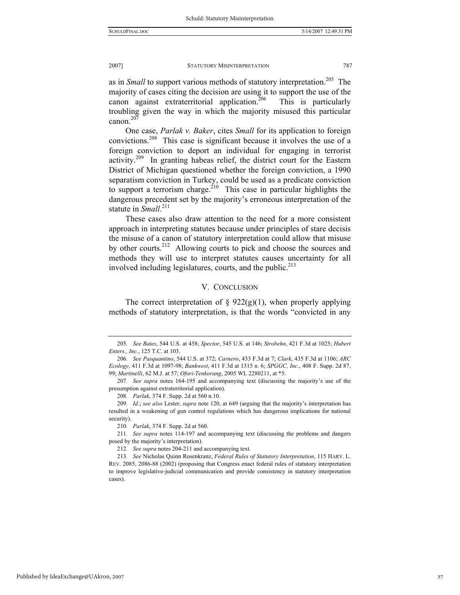as in *Small* to support various methods of statutory interpretation.<sup>205</sup> The majority of cases citing the decision are using it to support the use of the canon against extraterritorial application.<sup>206</sup> This is particularly troubling given the way in which the majority misused this particular canon.<sup>207</sup>

One case, *Parlak v. Baker*, cites *Small* for its application to foreign convictions.208 This case is significant because it involves the use of a foreign conviction to deport an individual for engaging in terrorist activity.209 In granting habeas relief, the district court for the Eastern District of Michigan questioned whether the foreign conviction, a 1990 separatism conviction in Turkey, could be used as a predicate conviction to support a terrorism charge.<sup>210</sup> This case in particular highlights the dangerous precedent set by the majority's erroneous interpretation of the statute in *Small*.<sup>211</sup>

These cases also draw attention to the need for a more consistent approach in interpreting statutes because under principles of stare decisis the misuse of a canon of statutory interpretation could allow that misuse by other courts.<sup>212</sup> Allowing courts to pick and choose the sources and methods they will use to interpret statutes causes uncertainty for all involved including legislatures, courts, and the public.<sup>213</sup>

#### V. CONCLUSION

The correct interpretation of  $\S$  922(g)(1), when properly applying methods of statutory interpretation, is that the words "convicted in any

<sup>205</sup>*. See Bates*, 544 U.S. at 458; *Spector*, 545 U.S. at 146; *Strobehn*, 421 F.3d at 1025; *Hubert Enters., Inc.*, 125 T.C. at 103.

<sup>206</sup>*. See Pasquantino*, 544 U.S. at 372; *Carnero*, 433 F.3d at 7; *Clark*, 435 F.3d at 1106; *ARC Ecology*, 411 F.3d at 1097-98; *Bankwest*, 411 F.3d at 1315 n. 6; *SPGGC, Inc.*, 408 F. Supp. 2d 87, 99; *Martinelli*, 62 M.J. at 57; *Ofori-Tenkorang*, 2005 WL 2280211, at \*5.

<sup>207</sup>*. See supra* notes 164-195 and accompanying text (discussing the majority's use of the presumption against extraterritorial application).

<sup>208</sup>*. Parlak*, 374 F. Supp. 2d at 560 n.10.

<sup>209</sup>*. Id.*; *see also* Lester, *supra* note 120, at 649 (arguing that the majority's interpretation has resulted in a weakening of gun control regulations which has dangerous implications for national security).

<sup>210</sup>*. Parlak*, 374 F. Supp. 2d at 560.

<sup>211</sup>*. See supra* notes 114-197 and accompanying text (discussing the problems and dangers posed by the majority's interpretation).

<sup>212</sup>*. See supra* notes 204-211 and accompanying text.

<sup>213</sup>*. See* Nicholas Quinn Rosenkranz, *Federal Rules of Statutory Interpretation*, 115 HARV. L. REV. 2085, 2086-88 (2002) (proposing that Congress enact federal rules of statutory interpretation to improve legislative-judicial communication and provide consistency in statutory interpretation cases).